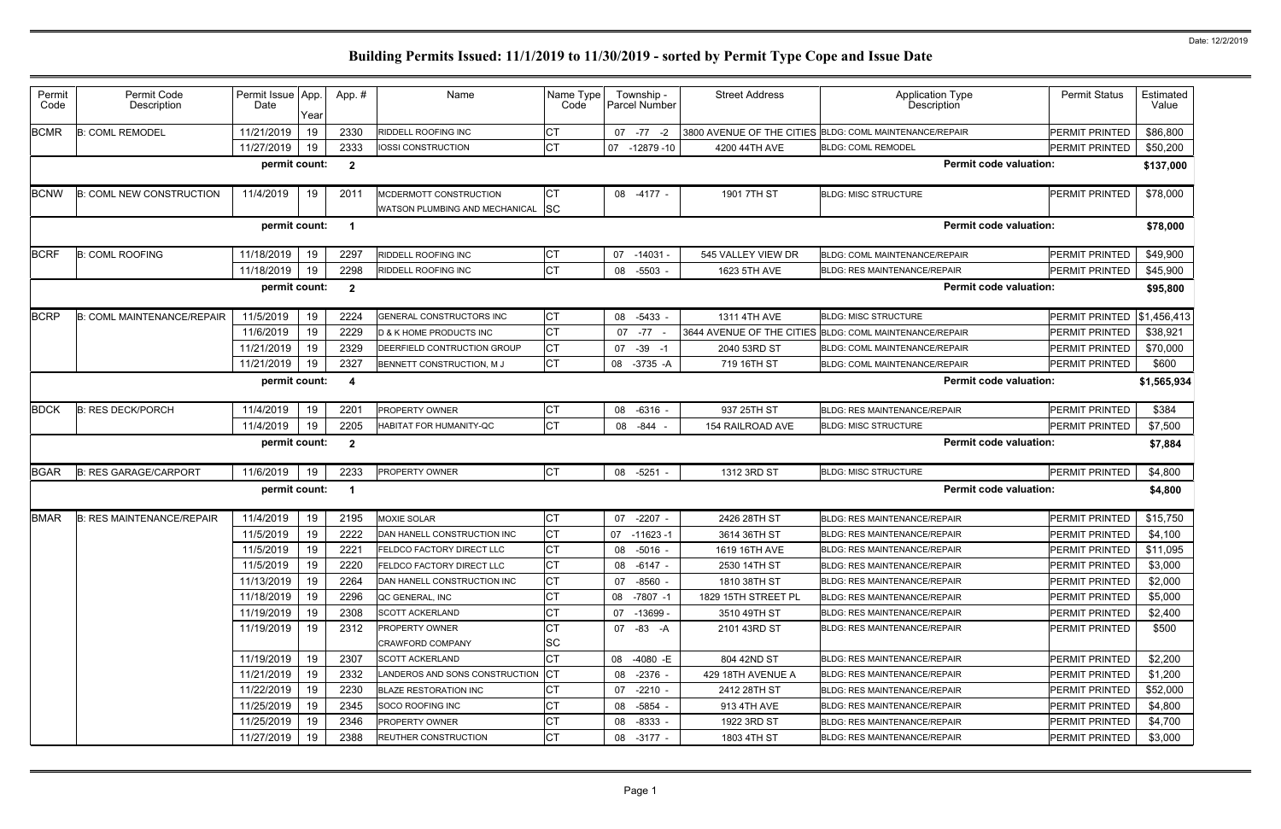| Permit<br>Code | Permit Code<br>Description        | Permit Issue App.<br>Date | Year | App.#                   | Name                                                        | Name Type<br>Code | Township -<br>Parcel Number | <b>Street Address</b> | <b>Application Type</b><br>Description                  | <b>Permit Status</b>  | Estimated<br>Value |
|----------------|-----------------------------------|---------------------------|------|-------------------------|-------------------------------------------------------------|-------------------|-----------------------------|-----------------------|---------------------------------------------------------|-----------------------|--------------------|
| <b>BCMR</b>    | <b>B: COML REMODEL</b>            | 11/21/2019                | 19   | 2330                    | RIDDELL ROOFING INC                                         | <b>CT</b>         | 07 -77<br>$-2$              |                       | 3800 AVENUE OF THE CITIES BLDG: COML MAINTENANCE/REPAIR | PERMIT PRINTED        | \$86,800           |
|                |                                   | 11/27/2019                | 19   | 2333                    | IOSSI CONSTRUCTION                                          | <b>CT</b>         | 07<br>$-12879-10$           | 4200 44TH AVE         | <b>BLDG: COML REMODEL</b>                               | PERMIT PRINTED        | \$50,200           |
|                |                                   | permit count:             |      | $\mathbf{2}$            |                                                             |                   |                             |                       | <b>Permit code valuation:</b>                           |                       | \$137,000          |
| <b>BCNW</b>    | <b>B: COML NEW CONSTRUCTION</b>   | 11/4/2019                 | 19   | 2011                    | MCDERMOTT CONSTRUCTION<br>WATSON PLUMBING AND MECHANICAL SC | IСТ               | 08 -4177 -                  | 1901 7TH ST           | <b>BLDG: MISC STRUCTURE</b>                             | <b>PERMIT PRINTED</b> | \$78,000           |
|                |                                   | permit count:             |      | $\overline{\mathbf{1}}$ |                                                             |                   |                             |                       | <b>Permit code valuation:</b>                           |                       | \$78,000           |
| <b>BCRF</b>    | <b>B: COML ROOFING</b>            | 11/18/2019                | 19   | 2297                    | <b>RIDDELL ROOFING INC</b>                                  | СT                | 07 -14031 -                 | 545 VALLEY VIEW DR    | <b>BLDG: COML MAINTENANCE/REPAIR</b>                    | PERMIT PRINTED        | \$49,900           |
|                |                                   | 11/18/2019                | 19   | 2298                    | <b>RIDDELL ROOFING INC</b>                                  | <b>CT</b>         | 08 -5503                    | 1623 5TH AVE          | <b>BLDG: RES MAINTENANCE/REPAIR</b>                     | PERMIT PRINTED        | \$45,900           |
|                |                                   | permit count:             |      | $\overline{2}$          |                                                             |                   |                             |                       | <b>Permit code valuation:</b>                           |                       | \$95,800           |
| <b>BCRP</b>    | <b>B: COML MAINTENANCE/REPAIR</b> | 11/5/2019                 | 19   | 2224                    | <b>GENERAL CONSTRUCTORS INC</b>                             | СT                | 08 -5433                    | 1311 4TH AVE          | <b>BLDG: MISC STRUCTURE</b>                             | PERMIT PRINTED        | \$1,456,413        |
|                |                                   | 11/6/2019                 | 19   | 2229                    | D & K HOME PRODUCTS INC                                     | <b>CT</b>         | $-77$<br>07                 |                       | 3644 AVENUE OF THE CITIES BLDG: COML MAINTENANCE/REPAIR | <b>PERMIT PRINTED</b> | \$38,921           |
|                |                                   | 11/21/2019                | 19   | 2329                    | DEERFIELD CONTRUCTION GROUP                                 | СT                | $-39$<br>07<br>-1           | 2040 53RD ST          | <b>BLDG: COML MAINTENANCE/REPAIR</b>                    | PERMIT PRINTED        | \$70,000           |
|                |                                   | 11/21/2019                | 19   | 2327                    | BENNETT CONSTRUCTION, MJ                                    | Iст               | 08<br>-3735 -A              | 719 16TH ST           | BLDG: COML MAINTENANCE/REPAIR                           | PERMIT PRINTED        | \$600              |
|                |                                   | permit count:             |      | 4                       |                                                             |                   |                             |                       | <b>Permit code valuation:</b>                           |                       | \$1,565,934        |
| <b>BDCK</b>    | <b>B: RES DECK/PORCH</b>          | 11/4/2019                 | 19   | 2201                    | <b>PROPERTY OWNER</b>                                       | CT                | -6316<br>08                 | 937 25TH ST           | <b>BLDG: RES MAINTENANCE/REPAIR</b>                     | PERMIT PRINTED        | \$384              |
|                |                                   | 11/4/2019                 | 19   | 2205                    | HABITAT FOR HUMANITY-QC                                     | <b>CT</b>         | -844<br>08                  | 154 RAILROAD AVE      | <b>BLDG: MISC STRUCTURE</b>                             | PERMIT PRINTED        | \$7,500            |
|                |                                   | permit count:             |      | $\mathbf{2}$            |                                                             |                   |                             |                       | <b>Permit code valuation:</b>                           |                       | \$7,884            |
| <b>BGAR</b>    | <b>B: RES GARAGE/CARPORT</b>      | 11/6/2019                 | 19   | 2233                    | <b>PROPERTY OWNER</b>                                       | <b>CT</b>         | 08 -5251 -                  | 1312 3RD ST           | <b>BLDG: MISC STRUCTURE</b>                             | <b>PERMIT PRINTED</b> | \$4,800            |
|                |                                   | permit count:             |      | - 1                     |                                                             |                   |                             |                       | <b>Permit code valuation:</b>                           |                       | \$4,800            |
| <b>BMAR</b>    | <b>B: RES MAINTENANCE/REPAIR</b>  | 11/4/2019                 | 19   | 2195                    | <b>MOXIE SOLAR</b>                                          | <b>CT</b>         | $-2207$<br>07               | 2426 28TH ST          | <b>BLDG: RES MAINTENANCE/REPAIR</b>                     | PERMIT PRINTED        | \$15,750           |
|                |                                   | 11/5/2019                 | 19   | 2222                    | DAN HANELL CONSTRUCTION INC                                 | <b>CT</b>         | 07<br>-11623 -1             | 3614 36TH ST          | <b>BLDG: RES MAINTENANCE/REPAIR</b>                     | PERMIT PRINTED        | \$4,100            |
|                |                                   | 11/5/2019                 | 19   | 2221                    | <b>FELDCO FACTORY DIRECT LLC</b>                            | IСТ               | 08 -5016 -                  | 1619 16TH AVE         | <b>BLDG: RES MAINTENANCE/REPAIR</b>                     | PERMIT PRINTED        | \$11,095           |
|                |                                   | 11/5/2019                 | 19   | 2220                    | <b>FELDCO FACTORY DIRECT LLC</b>                            | <b>CT</b>         | 08 -6147 -                  | 2530 14TH ST          | <b>BLDG: RES MAINTENANCE/REPAIR</b>                     | PERMIT PRINTED        | \$3,000            |
|                |                                   | 11/13/2019                | 19   | 2264                    | DAN HANELL CONSTRUCTION INC                                 | СT                | 07 -8560 -                  | 1810 38TH ST          | <b>BLDG: RES MAINTENANCE/REPAIR</b>                     | PERMIT PRINTED        | \$2,000            |
|                |                                   | 11/18/2019                | 19   | 2296                    | QC GENERAL, INC                                             | <b>CT</b>         | 08 -7807 -1                 | 1829 15TH STREET PL   | <b>BLDG: RES MAINTENANCE/REPAIR</b>                     | PERMIT PRINTED        | \$5,000            |
|                |                                   | 11/19/2019                | 19   | 2308                    | <b>SCOTT ACKERLAND</b>                                      | СT                | 07 -13699 -                 | 3510 49TH ST          | <b>BLDG: RES MAINTENANCE/REPAIR</b>                     | PERMIT PRINTED        | \$2,400            |
|                |                                   | 11/19/2019                | 19   | 2312                    | <b>PROPERTY OWNER</b>                                       | Iст               | 07 -83 -A                   | 2101 43RD ST          | <b>BLDG: RES MAINTENANCE/REPAIR</b>                     | PERMIT PRINTED        | \$500              |
|                |                                   |                           |      |                         | <b>CRAWFORD COMPANY</b>                                     | <b>SC</b>         |                             |                       |                                                         |                       |                    |
|                |                                   | 11/19/2019                | 19   | 2307                    | <b>SCOTT ACKERLAND</b>                                      | <b>CT</b>         | 08<br>-4080 -E              | 804 42ND ST           | <b>BLDG: RES MAINTENANCE/REPAIR</b>                     | PERMIT PRINTED        | \$2,200            |
|                |                                   | 11/21/2019                | 19   | 2332                    | LANDEROS AND SONS CONSTRUCTION CT                           |                   | 08 -2376 -                  | 429 18TH AVENUE A     | <b>BLDG: RES MAINTENANCE/REPAIR</b>                     | PERMIT PRINTED        | \$1,200            |
|                |                                   | 11/22/2019                | 19   | 2230                    | <b>BLAZE RESTORATION INC</b>                                | <b>CT</b>         | 07 -2210 -                  | 2412 28TH ST          | <b>BLDG: RES MAINTENANCE/REPAIR</b>                     | PERMIT PRINTED        | \$52,000           |
|                |                                   | 11/25/2019                | 19   | 2345                    | SOCO ROOFING INC                                            | <b>CT</b>         | 08 -5854 -                  | 913 4TH AVE           | <b>BLDG: RES MAINTENANCE/REPAIR</b>                     | PERMIT PRINTED        | \$4,800            |
|                |                                   | 11/25/2019                | 19   | 2346                    | <b>PROPERTY OWNER</b>                                       | <b>CT</b>         | 08 -8333 -                  | 1922 3RD ST           | <b>BLDG: RES MAINTENANCE/REPAIR</b>                     | PERMIT PRINTED        | \$4,700            |
|                |                                   | 11/27/2019                | 19   | 2388                    | <b>REUTHER CONSTRUCTION</b>                                 | IСТ               | 08 -3177 -                  | 1803 4TH ST           | <b>BLDG: RES MAINTENANCE/REPAIR</b>                     | PERMIT PRINTED        | \$3,000            |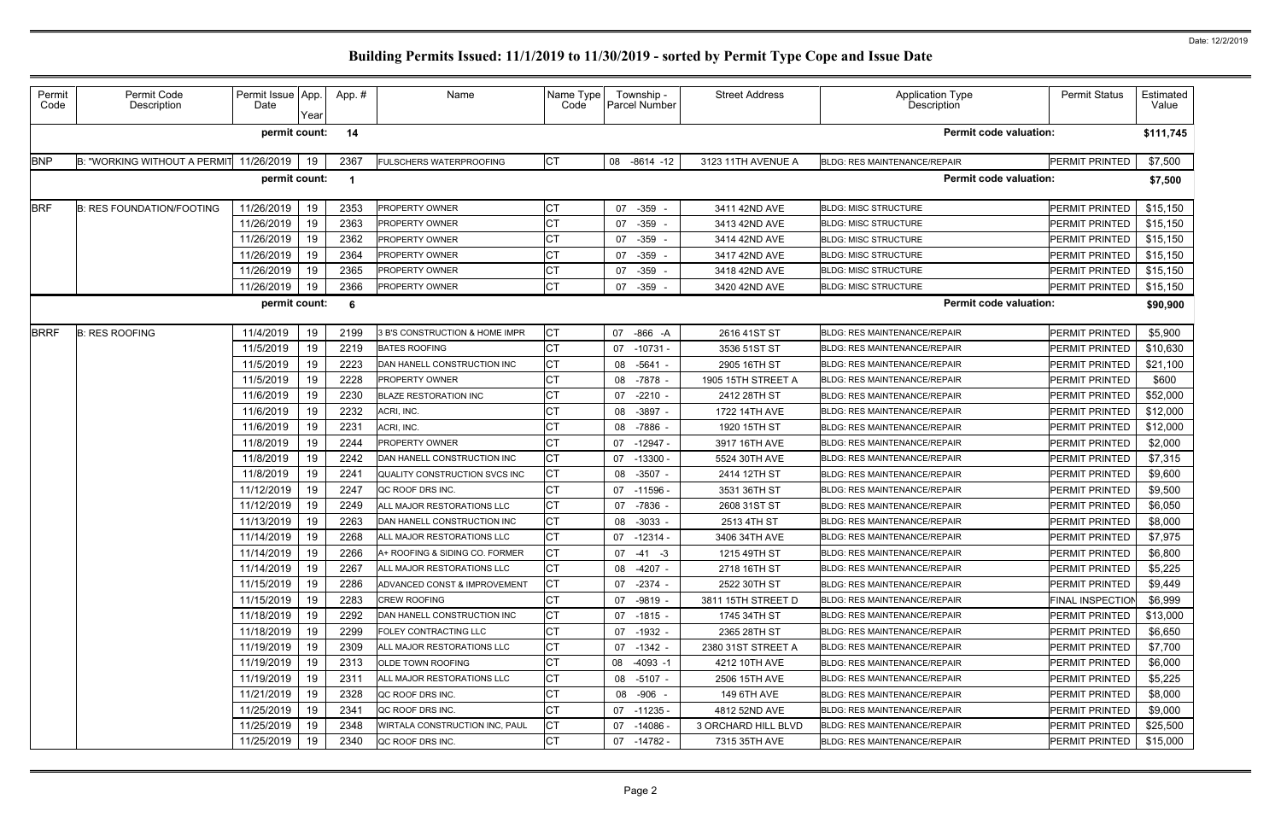|             |                                         | Date          | Year |      | Name                           | Name Type<br>Code | Township -<br><b>Parcel Number</b> | <b>Street Address</b> | <b>Application Type</b><br>Description | <b>Permit Status</b>    | Estimated<br>Value |
|-------------|-----------------------------------------|---------------|------|------|--------------------------------|-------------------|------------------------------------|-----------------------|----------------------------------------|-------------------------|--------------------|
|             |                                         | permit count: |      | 14   |                                |                   |                                    |                       | <b>Permit code valuation:</b>          |                         | \$111,745          |
| <b>BNP</b>  | B: "WORKING WITHOUT A PERMIT 11/26/2019 |               | 19   | 2367 | <b>FULSCHERS WATERPROOFING</b> | <b>CT</b>         | 08 -8614 -12                       | 3123 11TH AVENUE A    | <b>BLDG: RES MAINTENANCE/REPAIR</b>    | PERMIT PRINTED          | \$7,500            |
|             |                                         | permit count: |      | - 1  |                                |                   |                                    |                       | <b>Permit code valuation:</b>          |                         | \$7,500            |
| <b>BRF</b>  | <b>B: RES FOUNDATION/FOOTING</b>        | 11/26/2019    | 19   | 2353 | <b>PROPERTY OWNER</b>          | СT                | $-359$<br>07                       | 3411 42ND AVE         | <b>BLDG: MISC STRUCTURE</b>            | PERMIT PRINTED          | \$15,150           |
|             |                                         | 11/26/2019    | 19   | 2363 | PROPERTY OWNER                 |                   | $-359 -$<br>07                     | 3413 42ND AVE         | <b>BLDG: MISC STRUCTURE</b>            | PERMIT PRINTED          | \$15,150           |
|             |                                         | 11/26/2019    | 19   | 2362 | <b>PROPERTY OWNER</b>          | СT                | -359<br>07                         | 3414 42ND AVE         | <b>BLDG: MISC STRUCTURE</b>            | PERMIT PRINTED          | \$15,150           |
|             |                                         | 11/26/2019    | 19   | 2364 | PROPERTY OWNER                 |                   | 07 -359 -                          | 3417 42ND AVE         | <b>BLDG: MISC STRUCTURE</b>            | PERMIT PRINTED          | \$15,150           |
|             |                                         | 11/26/2019    | 19   | 2365 | <b>PROPERTY OWNER</b>          | <b>CT</b>         | $-359$<br>07                       | 3418 42ND AVE         | <b>BLDG: MISC STRUCTURE</b>            | PERMIT PRINTED          | \$15,150           |
|             |                                         | 11/26/2019    | 19   | 2366 | <b>PROPERTY OWNER</b>          | <b>CT</b>         | 07 -359 -                          | 3420 42ND AVE         | <b>BLDG: MISC STRUCTURE</b>            | PERMIT PRINTED          | \$15,150           |
|             |                                         | permit count: |      | - 6  |                                |                   |                                    |                       | <b>Permit code valuation:</b>          |                         | \$90,900           |
| <b>BRRF</b> | <b>B: RES ROOFING</b>                   | 11/4/2019     | 19   | 2199 | 3 B'S CONSTRUCTION & HOME IMPR | <b>CT</b>         | -866 -A<br>07                      | 2616 41ST ST          | <b>BLDG: RES MAINTENANCE/REPAIR</b>    | PERMIT PRINTED          | \$5,900            |
|             |                                         | 11/5/2019     | 19   | 2219 | <b>BATES ROOFING</b>           | СT                | 07<br>-10731 -                     | 3536 51ST ST          | <b>BLDG: RES MAINTENANCE/REPAIR</b>    | PERMIT PRINTED          | \$10,630           |
|             |                                         | 11/5/2019     | 19   | 2223 | DAN HANELL CONSTRUCTION INC    | <b>CT</b>         | 08 -5641 -                         | 2905 16TH ST          | <b>BLDG: RES MAINTENANCE/REPAIR</b>    | PERMIT PRINTED          | \$21,100           |
|             |                                         | 11/5/2019     | 19   | 2228 | <b>PROPERTY OWNER</b>          |                   | 08 -7878 -                         | 1905 15TH STREET A    | <b>BLDG: RES MAINTENANCE/REPAIR</b>    | PERMIT PRINTED          | \$600              |
|             |                                         | 11/6/2019     | 19   | 2230 | <b>BLAZE RESTORATION INC</b>   |                   | 07 -2210 -                         | 2412 28TH ST          | <b>BLDG: RES MAINTENANCE/REPAIR</b>    | PERMIT PRINTED          | \$52,000           |
|             |                                         | 11/6/2019     | 19   | 2232 | ACRI, INC.                     | СT                | 08<br>$-3897 -$                    | 1722 14TH AVE         | <b>BLDG: RES MAINTENANCE/REPAIR</b>    | PERMIT PRINTED          | \$12,000           |
|             |                                         | 11/6/2019     | 19   | 2231 | ACRI, INC.                     | СT                | 08<br>-7886 -                      | 1920 15TH ST          | <b>BLDG: RES MAINTENANCE/REPAIR</b>    | PERMIT PRINTED          | \$12,000           |
|             |                                         | 11/8/2019     | 19   | 2244 | <b>PROPERTY OWNER</b>          |                   | $-12947 -$<br>07                   | 3917 16TH AVE         | <b>BLDG: RES MAINTENANCE/REPAIR</b>    | PERMIT PRINTED          | \$2,000            |
|             |                                         | 11/8/2019     | 19   | 2242 | DAN HANELL CONSTRUCTION INC    | <b>CT</b>         | 07<br>$-13300 -$                   | 5524 30TH AVE         | <b>BLDG: RES MAINTENANCE/REPAIR</b>    | PERMIT PRINTED          | \$7,315            |
|             |                                         | 11/8/2019     | 19   | 224' | QUALITY CONSTRUCTION SVCS INC  | <b>CT</b>         | 08<br>$-3507 -$                    | 2414 12TH ST          | <b>BLDG: RES MAINTENANCE/REPAIR</b>    | PERMIT PRINTED          | \$9,600            |
|             |                                         | 11/12/2019    | 19   | 2247 | QC ROOF DRS INC.               | СT                | 07<br>-11596 -                     | 3531 36TH ST          | <b>BLDG: RES MAINTENANCE/REPAIR</b>    | PERMIT PRINTED          | \$9,500            |
|             |                                         | 11/12/2019    | 19   | 2249 | ALL MAJOR RESTORATIONS LLC     | СT                | 07 -7836 -                         | 2608 31ST ST          | <b>BLDG: RES MAINTENANCE/REPAIR</b>    | PERMIT PRINTED          | \$6,050            |
|             |                                         | 11/13/2019    | 19   | 2263 | DAN HANELL CONSTRUCTION INC    | <b>CT</b>         | 08 -3033 -                         | 2513 4TH ST           | <b>BLDG: RES MAINTENANCE/REPAIR</b>    | PERMIT PRINTED          | \$8,000            |
|             |                                         | 11/14/2019    | 19   | 2268 | ALL MAJOR RESTORATIONS LLC     | <b>CT</b>         | 07 -12314 -                        | 3406 34TH AVE         | BLDG: RES MAINTENANCE/REPAIR           | PERMIT PRINTED          | \$7,975            |
|             |                                         | 11/14/2019    | 19   | 2266 | A+ ROOFING & SIDING CO. FORMER | <b>CT</b>         | $07 - 41 - 3$                      | 1215 49TH ST          | BLDG: RES MAINTENANCE/REPAIR           | PERMIT PRINTED          | \$6,800            |
|             |                                         | 11/14/2019    | 19   | 2267 | ALL MAJOR RESTORATIONS LLC     | СT                | 08 -4207 -                         | 2718 16TH ST          | <b>BLDG: RES MAINTENANCE/REPAIR</b>    | PERMIT PRINTED          | \$5,225            |
|             |                                         | 11/15/2019    | 19   | 2286 | ADVANCED CONST & IMPROVEMENT   | <b>CT</b>         | 07 -2374 -                         | 2522 30TH ST          | <b>BLDG: RES MAINTENANCE/REPAIR</b>    | PERMIT PRINTED          | \$9,449            |
|             |                                         | 11/15/2019    | 19   | 2283 | CREW ROOFING                   | СT                | 07 -9819 -                         | 3811 15TH STREET D    | <b>BLDG: RES MAINTENANCE/REPAIR</b>    | <b>FINAL INSPECTION</b> | \$6,999            |
|             |                                         | 11/18/2019    | 19   | 2292 | DAN HANELL CONSTRUCTION INC    | <b>CT</b>         | 07 -1815 -                         | 1745 34TH ST          | <b>BLDG: RES MAINTENANCE/REPAIR</b>    | PERMIT PRINTED          | \$13,000           |
|             |                                         | 11/18/2019    | 19   | 2299 | <b>FOLEY CONTRACTING LLC</b>   | СT                | 07 -1932 -                         | 2365 28TH ST          | <b>BLDG: RES MAINTENANCE/REPAIR</b>    | PERMIT PRINTED          | \$6,650            |
|             |                                         | 11/19/2019    | 19   | 2309 | ALL MAJOR RESTORATIONS LLC     | СT                | 07 -1342 -                         | 2380 31ST STREET A    | <b>BLDG: RES MAINTENANCE/REPAIR</b>    | PERMIT PRINTED          | \$7,700            |
|             |                                         | 11/19/2019    | 19   | 2313 | <b>OLDE TOWN ROOFING</b>       | СT                | 08 -4093 -1                        | 4212 10TH AVE         | <b>BLDG: RES MAINTENANCE/REPAIR</b>    | PERMIT PRINTED          | \$6,000            |
|             |                                         | 11/19/2019    | 19   | 2311 | ALL MAJOR RESTORATIONS LLC     | СT                | 08 -5107 -                         | 2506 15TH AVE         | BLDG: RES MAINTENANCE/REPAIR           | PERMIT PRINTED          | \$5,225            |
|             |                                         | 11/21/2019    | 19   | 2328 | QC ROOF DRS INC.               | СT                | 08 -906 -                          | 149 6TH AVE           | <b>BLDG: RES MAINTENANCE/REPAIR</b>    | PERMIT PRINTED          | \$8,000            |
|             |                                         | 11/25/2019    | 19   | 2341 | QC ROOF DRS INC.               | <b>CT</b>         | $07 - 11235 -$                     | 4812 52ND AVE         | <b>BLDG: RES MAINTENANCE/REPAIR</b>    | PERMIT PRINTED          | \$9,000            |
|             |                                         | 11/25/2019    | 19   | 2348 | WIRTALA CONSTRUCTION INC, PAUL | СT                | 07 -14086 -                        | 3 ORCHARD HILL BLVD   | <b>BLDG: RES MAINTENANCE/REPAIR</b>    | PERMIT PRINTED          | \$25,500           |
|             |                                         | 11/25/2019    | 19   | 2340 | QC ROOF DRS INC.               | <b>CT</b>         | 07 -14782 -                        | 7315 35TH AVE         | BLDG: RES MAINTENANCE/REPAIR           | PERMIT PRINTED          | \$15,000           |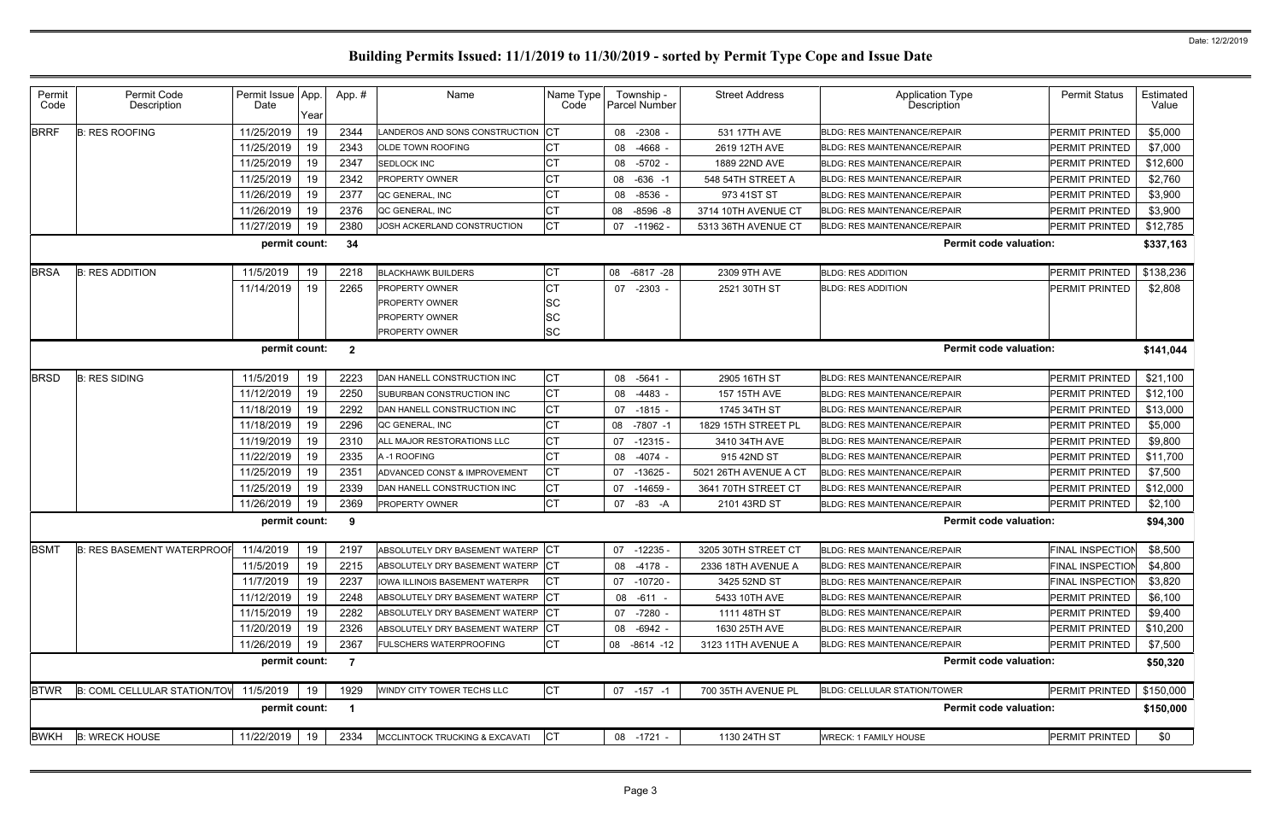| Permit<br>Code | Permit Code<br>Description                                        | Permit Issue<br>Date | App.<br>Year | App. #                  | Name                              | Name Type<br>Code | Township -<br>Parcel Number | <b>Street Address</b> | Application Type<br>Description     | <b>Permit Status</b>    | Estimated<br>Value |
|----------------|-------------------------------------------------------------------|----------------------|--------------|-------------------------|-----------------------------------|-------------------|-----------------------------|-----------------------|-------------------------------------|-------------------------|--------------------|
| <b>BRRF</b>    | <b>B: RES ROOFING</b>                                             | 11/25/2019           | 19           | 2344                    | ANDEROS AND SONS CONSTRUCTION     |                   | $-2308 -$<br>08             | 531 17TH AVE          | <b>BLDG: RES MAINTENANCE/REPAIR</b> | PERMIT PRINTED          | \$5,000            |
|                |                                                                   | 11/25/2019           | 19           | 2343                    | <b>OLDE TOWN ROOFING</b>          | <b>CT</b>         | -4668<br>08                 | 2619 12TH AVE         | <b>BLDG: RES MAINTENANCE/REPAIR</b> | PERMIT PRINTED          | \$7,000            |
|                |                                                                   | 11/25/2019           | 19           | 2347                    | SEDLOCK INC                       |                   | $-5702 -$<br>08             | 1889 22ND AVE         | BLDG: RES MAINTENANCE/REPAIR        | PERMIT PRINTED          | \$12,600           |
|                |                                                                   | 11/25/2019           | 19           | 2342                    | <b>PROPERTY OWNER</b>             | <b>CT</b>         | $-636 - 1$<br>08            | 548 54TH STREET A     | <b>BLDG: RES MAINTENANCE/REPAIR</b> | PERMIT PRINTED          | \$2,760            |
|                |                                                                   | 11/26/2019           | 19           | 2377                    | QC GENERAL, INC                   |                   | $-8536 -$<br>08             | 973 41ST ST           | <b>BLDG: RES MAINTENANCE/REPAIR</b> | PERMIT PRINTED          | \$3,900            |
|                |                                                                   | 11/26/2019           | 19           | 2376                    | QC GENERAL, INC                   | <b>CT</b>         | 08<br>$-8596 - 8$           | 3714 10TH AVENUE CT   | <b>BLDG: RES MAINTENANCE/REPAIR</b> | PERMIT PRINTED          | \$3,900            |
|                |                                                                   | 11/27/2019           | 19           | 2380                    | JOSH ACKERLAND CONSTRUCTION       | <b>CT</b>         | 07<br>$-11962$              | 5313 36TH AVENUE CT   | BLDG: RES MAINTENANCE/REPAIR        | PERMIT PRINTED          | \$12,785           |
|                | <b>Permit code valuation:</b><br>permit count:<br>34<br>\$337,163 |                      |              |                         |                                   |                   |                             |                       |                                     |                         |                    |
| <b>BRSA</b>    | <b>B: RES ADDITION</b>                                            | 11/5/2019            | 19           | 2218                    | <b>BLACKHAWK BUILDERS</b>         | <b>CT</b>         | 08<br>$-6817 -28$           | 2309 9TH AVE          | <b>BLDG: RES ADDITION</b>           | <b>PERMIT PRINTED</b>   | \$138,236          |
|                |                                                                   | 11/14/2019           | 19           | 2265                    | PROPERTY OWNER                    | <b>CT</b>         | $-2303 -$<br>07             | 2521 30TH ST          | <b>BLDG: RES ADDITION</b>           | PERMIT PRINTED          | \$2,808            |
|                |                                                                   |                      |              |                         | PROPERTY OWNER                    | <b>SC</b>         |                             |                       |                                     |                         |                    |
|                |                                                                   |                      |              |                         | <b>PROPERTY OWNER</b>             | <b>SC</b>         |                             |                       |                                     |                         |                    |
|                |                                                                   |                      |              |                         | PROPERTY OWNER                    | <b>SC</b>         |                             |                       |                                     |                         |                    |
|                |                                                                   | permit count:        |              | $\overline{\mathbf{2}}$ |                                   |                   |                             |                       | <b>Permit code valuation:</b>       |                         | \$141,044          |
| <b>BRSD</b>    | <b>B: RES SIDING</b>                                              | 11/5/2019            | 19           | 2223                    | DAN HANELL CONSTRUCTION INC       | <b>CT</b>         | 08 -5641 -                  | 2905 16TH ST          | <b>BLDG: RES MAINTENANCE/REPAIR</b> | PERMIT PRINTED          | \$21,100           |
|                |                                                                   | 11/12/2019           | 19           | 2250                    | SUBURBAN CONSTRUCTION INC         | <b>CT</b>         | -4483<br>08                 | 157 15TH AVE          | <b>BLDG: RES MAINTENANCE/REPAIR</b> | PERMIT PRINTED          | \$12,100           |
|                |                                                                   | 11/18/2019           | 19           | 2292                    | DAN HANELL CONSTRUCTION INC       | <b>CT</b>         | $-1815 -$<br>07             | 1745 34TH ST          | <b>BLDG: RES MAINTENANCE/REPAIR</b> | <b>PERMIT PRINTED</b>   | \$13,000           |
|                |                                                                   | 11/18/2019           | 19           | 2296                    | <b>QC GENERAL. INC</b>            | <b>CT</b>         | 08<br>$-7807 - 1$           | 1829 15TH STREET PL   | <b>BLDG: RES MAINTENANCE/REPAIR</b> | PERMIT PRINTED          | \$5,000            |
|                |                                                                   | 11/19/2019           | 19           | 2310                    | ALL MAJOR RESTORATIONS LLC        | <b>CT</b>         | 07<br>$-12315-$             | 3410 34TH AVE         | <b>BLDG: RES MAINTENANCE/REPAIR</b> | PERMIT PRINTED          | \$9,800            |
|                |                                                                   | 11/22/2019           | 19           | 2335                    | A-1 ROOFING                       | <b>ICT</b>        | $-4074$<br>08               | 915 42ND ST           | <b>BLDG: RES MAINTENANCE/REPAIR</b> | PERMIT PRINTED          | \$11,700           |
|                |                                                                   | 11/25/2019           | 19           | 2351                    | ADVANCED CONST & IMPROVEMENT      | <b>CT</b>         | 07<br>$-13625$              | 5021 26TH AVENUE A CT | <b>BLDG: RES MAINTENANCE/REPAIR</b> | PERMIT PRINTED          | \$7,500            |
|                |                                                                   | 11/25/2019           | 19           | 2339                    | DAN HANELL CONSTRUCTION INC       | <b>CT</b>         | 07<br>$-14659$              | 3641 70TH STREET CT   | <b>BLDG: RES MAINTENANCE/REPAIR</b> | PERMIT PRINTED          | \$12,000           |
|                |                                                                   | 11/26/2019           | 19           | 2369                    | PROPERTY OWNER                    | <b>ICT</b>        | 07<br>$-83$<br>-A           | 2101 43RD ST          | <b>BLDG: RES MAINTENANCE/REPAIR</b> | PERMIT PRINTED          | \$2,100            |
|                |                                                                   | permit count:        |              | 9                       |                                   |                   |                             |                       | <b>Permit code valuation:</b>       |                         | \$94,300           |
|                | BSMT B: RES BASEMENT WATERPROOF 11/4/2019                         |                      | 19           | 2197                    | ABSOLUTELY DRY BASEMENT WATERP CT |                   | 07 -12235 -                 | 3205 30TH STREET CT   | BLDG: RES MAINTENANCE/REPAIR        | <b>FINAL INSPECTION</b> | \$8,500            |
|                |                                                                   | 11/5/2019            | 19           | 2215                    | ABSOLUTELY DRY BASEMENT WATERP CT |                   | 08 -4178 -                  | 2336 18TH AVENUE A    | <b>BLDG: RES MAINTENANCE/REPAIR</b> | <b>FINAL INSPECTIOI</b> | \$4,800            |
|                |                                                                   | 11/7/2019            | 19           | 2237                    | IOWA ILLINOIS BASEMENT WATERPR    | IСТ               | 07 -10720 -                 | 3425 52ND ST          | <b>BLDG: RES MAINTENANCE/REPAIR</b> | <b>FINAL INSPECTION</b> | \$3,820            |
|                |                                                                   | 11/12/2019           | 19           | 2248                    | ABSOLUTELY DRY BASEMENT WATERP CT |                   | 08 -611 -                   | 5433 10TH AVE         | BLDG: RES MAINTENANCE/REPAIR        | PERMIT PRINTED          | \$6,100            |
|                |                                                                   | 11/15/2019           | 19           | 2282                    | ABSOLUTELY DRY BASEMENT WATERP CT |                   | -7280 -<br>07               | 1111 48TH ST          | BLDG: RES MAINTENANCE/REPAIR        | PERMIT PRINTED          | \$9,400            |
|                |                                                                   | 11/20/2019           | 19           | 2326                    | ABSOLUTELY DRY BASEMENT WATERP CT |                   | 08 -6942 -                  | 1630 25TH AVE         | <b>BLDG: RES MAINTENANCE/REPAIR</b> | PERMIT PRINTED          | \$10,200           |
|                |                                                                   | 11/26/2019           | 19           | 2367                    | FULSCHERS WATERPROOFING           | <b>CT</b>         | 08 -8614 -12                | 3123 11TH AVENUE A    | <b>BLDG: RES MAINTENANCE/REPAIR</b> | PERMIT PRINTED          | \$7,500            |
|                |                                                                   | permit count:        |              | $\overline{7}$          |                                   |                   |                             |                       | <b>Permit code valuation:</b>       |                         | \$50,320           |
| <b>BTWR</b>    | <b>B: COML CELLULAR STATION/TOV</b>                               | 11/5/2019            | 19           | 1929                    | WINDY CITY TOWER TECHS LLC        | IСТ               | $07 - 157 - 1$              | 700 35TH AVENUE PL    | BLDG: CELLULAR STATION/TOWER        | PERMIT PRINTED          | \$150,000          |
|                |                                                                   | permit count:        |              | $\blacksquare$          |                                   |                   |                             |                       | <b>Permit code valuation:</b>       |                         | \$150,000          |
| <b>BWKH</b>    | <b>B: WRECK HOUSE</b>                                             | 11/22/2019           | 19           | 2334                    | MCCLINTOCK TRUCKING & EXCAVATI    | <b>CT</b>         | 08 -1721 -                  | 1130 24TH ST          | <b>WRECK: 1 FAMILY HOUSE</b>        | PERMIT PRINTED          | \$0                |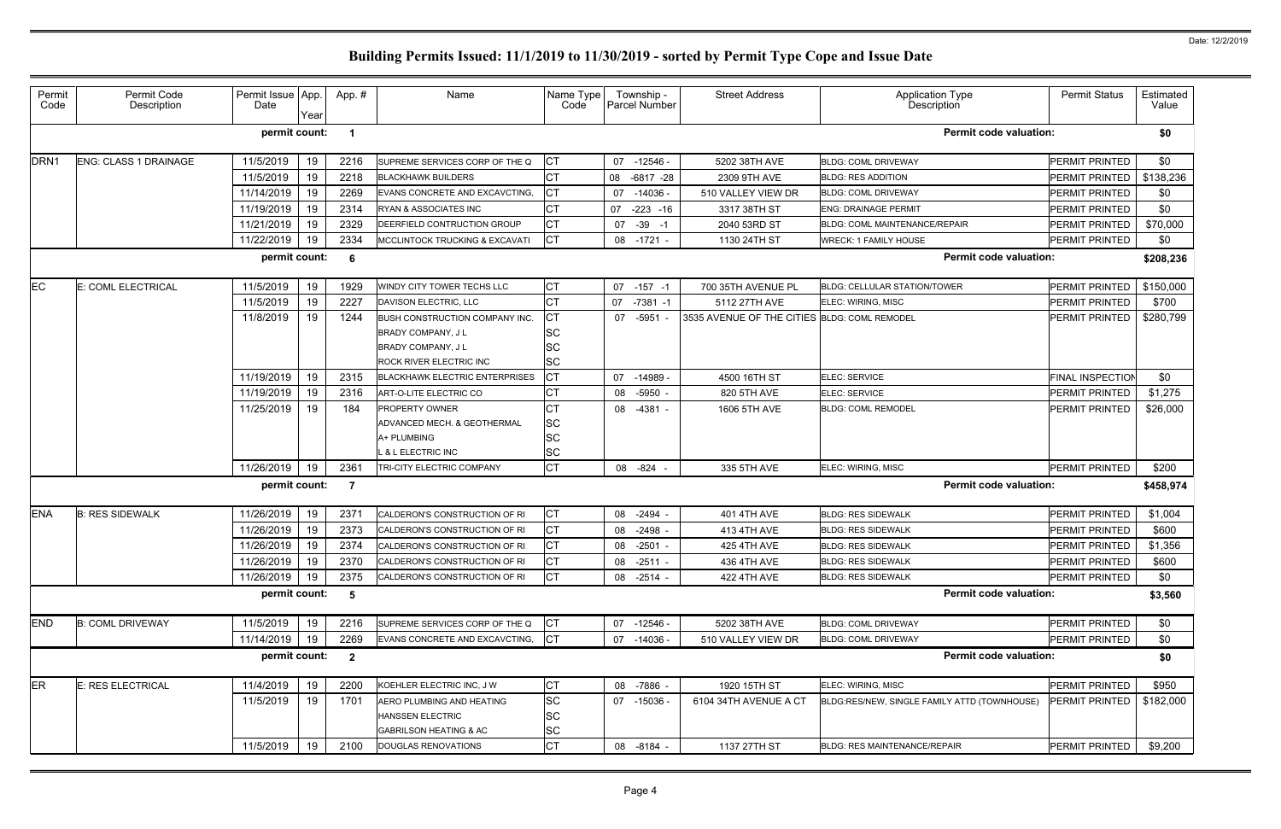| Permit<br>Code   | Permit Code<br>Description   | Permit Issue App.<br>Date | Year | App.#                   | Name                                                                                                                     | Name Type<br>Code                                |    | Township -<br>Parcel Number | <b>Street Address</b>                        | <b>Application Type</b><br>Description       | <b>Permit Status</b>    | Estimated<br>Value |
|------------------|------------------------------|---------------------------|------|-------------------------|--------------------------------------------------------------------------------------------------------------------------|--------------------------------------------------|----|-----------------------------|----------------------------------------------|----------------------------------------------|-------------------------|--------------------|
|                  |                              | permit count:             |      | $\overline{\mathbf{1}}$ |                                                                                                                          |                                                  |    |                             |                                              | <b>Permit code valuation:</b>                |                         | \$0                |
| DRN <sub>1</sub> | <b>ENG: CLASS 1 DRAINAGE</b> | 11/5/2019                 | 19   | 2216                    | SUPREME SERVICES CORP OF THE Q                                                                                           | Iст                                              |    | 07 -12546 -                 | 5202 38TH AVE                                | <b>BLDG: COML DRIVEWAY</b>                   | <b>PERMIT PRINTED</b>   | \$0                |
|                  |                              | 11/5/2019                 | 19   | 2218                    | <b>BLACKHAWK BUILDERS</b>                                                                                                | <b>CT</b>                                        | 08 | $-6817 -28$                 | 2309 9TH AVE                                 | <b>BLDG: RES ADDITION</b>                    | PERMIT PRINTED          | \$138,236          |
|                  |                              | 11/14/2019                | 19   | 2269                    | EVANS CONCRETE AND EXCAVCTING.                                                                                           | <b>CT</b>                                        | 07 | $-14036$                    | 510 VALLEY VIEW DR                           | <b>BLDG: COML DRIVEWAY</b>                   | PERMIT PRINTED          | \$0                |
|                  |                              | 11/19/2019                | 19   | 2314                    | RYAN & ASSOCIATES INC                                                                                                    | <b>CT</b>                                        | 07 | $-223 - 16$                 | 3317 38TH ST                                 | <b>ENG: DRAINAGE PERMIT</b>                  | PERMIT PRINTED          | \$0                |
|                  |                              | 11/21/2019                | 19   | 2329                    | DEERFIELD CONTRUCTION GROUP                                                                                              | СT                                               |    | 07 -39 -1                   | 2040 53RD ST                                 | <b>BLDG: COML MAINTENANCE/REPAIR</b>         | PERMIT PRINTED          | \$70,000           |
|                  |                              | 11/22/2019                | 19   | 2334                    | MCCLINTOCK TRUCKING & EXCAVATI                                                                                           | Iст                                              |    | 08 -1721 -                  | 1130 24TH ST                                 | <b>WRECK: 1 FAMILY HOUSE</b>                 | PERMIT PRINTED          | \$0                |
|                  |                              | permit count:             |      | 6                       |                                                                                                                          |                                                  |    |                             |                                              | <b>Permit code valuation:</b>                |                         | \$208,236          |
| EC               | E: COML ELECTRICAL           | 11/5/2019                 | 19   | 1929                    | WINDY CITY TOWER TECHS LLC                                                                                               | СT                                               |    | $07 - 157 - 1$              | 700 35TH AVENUE PL                           | <b>BLDG: CELLULAR STATION/TOWER</b>          | PERMIT PRINTED          | \$150,000          |
|                  |                              | 11/5/2019                 | 19   | 2227                    | DAVISON ELECTRIC, LLC                                                                                                    | <b>CT</b>                                        | 07 | $-7381 - 1$                 | 5112 27TH AVE                                | ELEC: WIRING, MISC                           | PERMIT PRINTED          | \$700              |
|                  |                              | 11/8/2019                 | 19   | 1244                    | BUSH CONSTRUCTION COMPANY INC.<br><b>BRADY COMPANY, JL</b><br><b>BRADY COMPANY, JL</b><br><b>ROCK RIVER ELECTRIC INC</b> | СT<br><b>SC</b><br><b>SC</b><br><b>SC</b>        |    | 07 -5951                    | 3535 AVENUE OF THE CITIES BLDG: COML REMODEL |                                              | PERMIT PRINTED          | \$280,799          |
|                  |                              | 11/19/2019                | 19   | 2315                    | <b>BLACKHAWK ELECTRIC ENTERPRISES</b>                                                                                    | <b>CT</b>                                        | 07 | $-14989$                    | 4500 16TH ST                                 | <b>ELEC: SERVICE</b>                         | <b>FINAL INSPECTION</b> | \$0                |
|                  |                              | 11/19/2019                | 19   | 2316                    | ART-O-LITE ELECTRIC CO                                                                                                   | СT                                               |    | 08 -5950                    | 820 5TH AVE                                  | <b>ELEC: SERVICE</b>                         | PERMIT PRINTED          | \$1,275            |
|                  |                              | 11/25/2019                | 19   | 184                     | <b>PROPERTY OWNER</b><br>ADVANCED MECH. & GEOTHERMAL<br>A+ PLUMBING<br><b>&amp; L ELECTRIC INC</b>                       | <b>CT</b><br><b>SC</b><br><b>SC</b><br><b>SC</b> | 08 | -4381                       | 1606 5TH AVE                                 | <b>BLDG: COML REMODEL</b>                    | PERMIT PRINTED          | \$26,000           |
|                  |                              | 11/26/2019                | 19   | 2361                    | TRI-CITY ELECTRIC COMPANY                                                                                                | <b>CT</b>                                        |    | 08 -824                     | 335 5TH AVE                                  | ELEC: WIRING, MISC                           | PERMIT PRINTED          | \$200              |
|                  |                              | permit count:             |      | -7                      |                                                                                                                          |                                                  |    |                             |                                              | <b>Permit code valuation:</b>                |                         | \$458,974          |
| <b>ENA</b>       | <b>B: RES SIDEWALK</b>       | 11/26/2019                | 19   | 2371                    | CALDERON'S CONSTRUCTION OF RI                                                                                            | <b>CT</b>                                        |    | 08 -2494 -                  | 401 4TH AVE                                  | <b>BLDG: RES SIDEWALK</b>                    | PERMIT PRINTED          | \$1,004            |
|                  |                              | 11/26/2019                | 19   | 2373                    | CALDERON'S CONSTRUCTION OF RI                                                                                            | СT                                               |    | 08 -2498                    | 413 4TH AVE                                  | <b>BLDG: RES SIDEWALK</b>                    | PERMIT PRINTED          | \$600              |
|                  |                              | 11/26/2019                | 19   | 2374                    | CALDERON'S CONSTRUCTION OF RI                                                                                            | <b>CT</b>                                        |    | 08 -2501 -                  | 425 4TH AVE                                  | <b>BLDG: RES SIDEWALK</b>                    | PERMIT PRINTED          | \$1,356            |
|                  |                              | 11/26/2019                | 19   | 2370                    | CALDERON'S CONSTRUCTION OF RI                                                                                            | Iст                                              |    | 08 -2511 -                  | 436 4TH AVE                                  | <b>BLDG: RES SIDEWALK</b>                    | PERMIT PRINTED          | \$600              |
|                  |                              | 11/26/2019                | 19   | 2375                    | CALDERON'S CONSTRUCTION OF RI                                                                                            | Iст                                              |    | 08 -2514 -                  | 422 4TH AVE                                  | <b>BLDG: RES SIDEWALK</b>                    | PERMIT PRINTED          | \$0                |
|                  |                              | permit count:             |      | 5                       |                                                                                                                          |                                                  |    |                             |                                              | <b>Permit code valuation:</b>                |                         | \$3,560            |
| <b>END</b>       | <b>B: COML DRIVEWAY</b>      | 11/5/2019                 | 19   | 2216                    | SUPREME SERVICES CORP OF THE Q                                                                                           | CT                                               |    | 07 -12546 -                 | 5202 38TH AVE                                | <b>BLDG: COML DRIVEWAY</b>                   | PERMIT PRINTED          | \$0                |
|                  |                              | 11/14/2019                | 19   | 2269                    | EVANS CONCRETE AND EXCAVCTING,                                                                                           | <b>CT</b>                                        |    | 07 -14036 -                 | 510 VALLEY VIEW DR                           | <b>BLDG: COML DRIVEWAY</b>                   | PERMIT PRINTED          | \$0                |
|                  |                              | permit count:             |      | $\overline{\mathbf{2}}$ |                                                                                                                          |                                                  |    |                             |                                              | <b>Permit code valuation:</b>                |                         | \$0                |
| ER               | E: RES ELECTRICAL            | 11/4/2019                 | 19   | 2200                    | KOEHLER ELECTRIC INC, J W                                                                                                | <b>CT</b>                                        |    | 08 -7886 -                  | 1920 15TH ST                                 | ELEC: WIRING, MISC                           | PERMIT PRINTED          | \$950              |
|                  |                              | 11/5/2019                 | 19   | 1701                    | AERO PLUMBING AND HEATING<br><b>HANSSEN ELECTRIC</b><br><b>GABRILSON HEATING &amp; AC</b>                                | <b>SC</b><br><b>SC</b><br><b>SC</b>              |    | 07 -15036 -                 | 6104 34TH AVENUE A CT                        | BLDG:RES/NEW, SINGLE FAMILY ATTD (TOWNHOUSE) | PERMIT PRINTED          | \$182,000          |
|                  |                              | 11/5/2019                 | 19   | 2100                    | DOUGLAS RENOVATIONS                                                                                                      | <b>CT</b>                                        |    | 08 -8184 -                  | 1137 27TH ST                                 | <b>BLDG: RES MAINTENANCE/REPAIR</b>          | PERMIT PRINTED          | \$9,200            |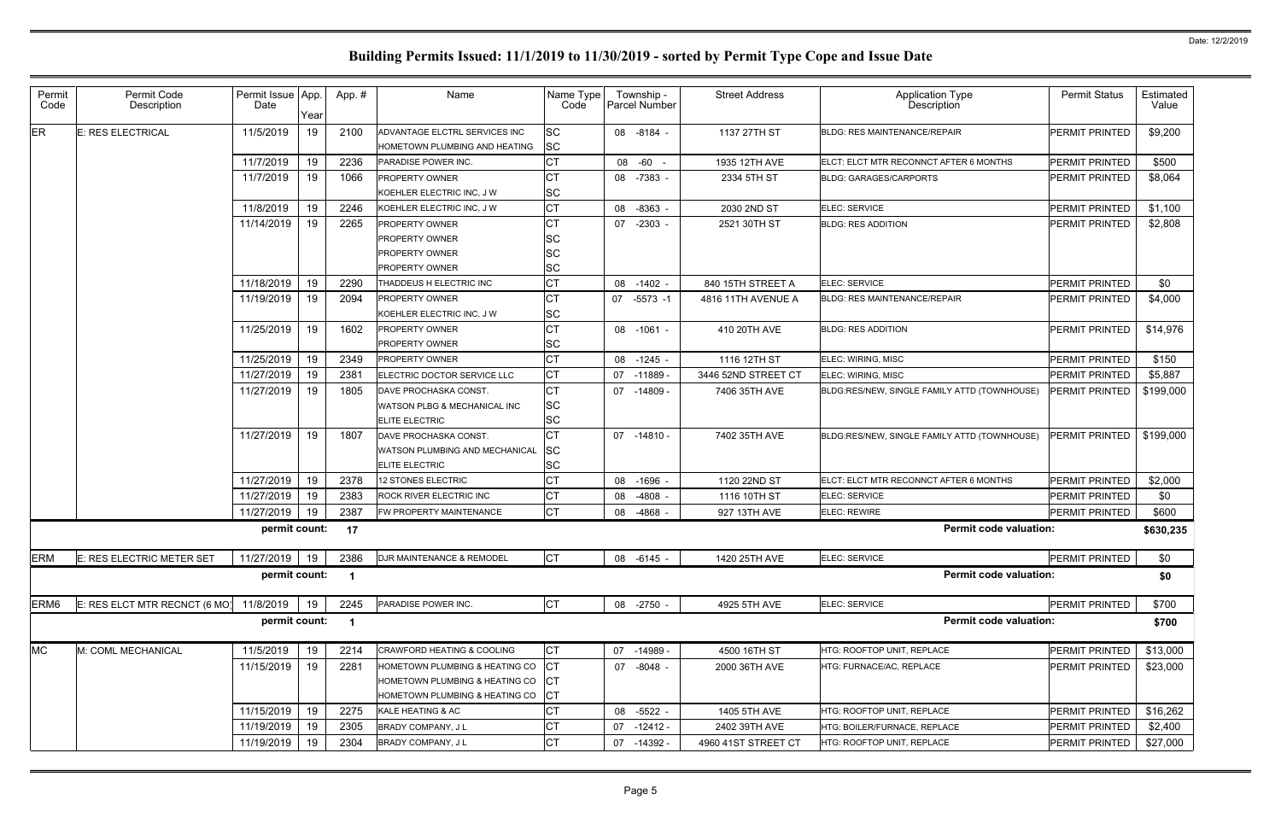|                                                                                                                                                                                                                      | PERMIT PRINTED        |           |
|----------------------------------------------------------------------------------------------------------------------------------------------------------------------------------------------------------------------|-----------------------|-----------|
| ER.<br><b>SC</b><br>11/5/2019<br>19<br>2100<br>1137 27TH ST<br>E: RES ELECTRICAL<br>ADVANTAGE ELCTRL SERVICES INC<br>08 -8184 -<br><b>BLDG: RES MAINTENANCE/REPAIR</b><br><b>SC</b><br>HOMETOWN PLUMBING AND HEATING |                       | \$9,200   |
| <b>CT</b><br>11/7/2019<br>19<br>2236<br>1935 12TH AVE<br>PARADISE POWER INC.<br>08 -60 -<br>ELCT: ELCT MTR RECONNCT AFTER 6 MONTHS                                                                                   | <b>PERMIT PRINTED</b> | \$500     |
| <b>CT</b><br>11/7/2019<br>19<br>1066<br>PROPERTY OWNER<br>08 -7383 -<br>2334 5TH ST<br><b>BLDG: GARAGES/CARPORTS</b><br><b>SC</b><br>KOEHLER ELECTRIC INC, J W                                                       | PERMIT PRINTED        | \$8,064   |
| <b>CT</b><br>11/8/2019<br>19<br>2246<br>08 -8363<br>2030 2ND ST<br>ELEC: SERVICE<br>KOEHLER ELECTRIC INC, J W                                                                                                        | <b>PERMIT PRINTED</b> | \$1,100   |
| <b>CT</b><br>11/14/2019<br>19<br>2265<br>PROPERTY OWNER<br>07 -2303<br>2521 30TH ST<br><b>BLDG: RES ADDITION</b>                                                                                                     | <b>PERMIT PRINTED</b> | \$2,808   |
| SC<br><b>PROPERTY OWNER</b>                                                                                                                                                                                          |                       |           |
| SC<br>PROPERTY OWNER                                                                                                                                                                                                 |                       |           |
| SC<br><b>PROPERTY OWNER</b>                                                                                                                                                                                          |                       |           |
| <b>CT</b><br>11/18/2019<br>19<br>2290<br>THADDEUS H ELECTRIC INC<br>08 -1402 -<br>840 15TH STREET A<br><b>ELEC: SERVICE</b>                                                                                          | <b>PERMIT PRINTED</b> | \$0       |
| <b>CT</b><br>11/19/2019<br>19<br>2094<br><b>PROPERTY OWNER</b><br>07 -5573 -1<br><b>BLDG: RES MAINTENANCE/REPAIR</b><br>4816 11TH AVENUE A<br><b>SC</b><br>KOEHLER ELECTRIC INC, J W                                 | PERMIT PRINTED        | \$4,000   |
| <b>CT</b><br>11/25/2019<br>19<br>1602<br><b>PROPERTY OWNER</b><br>410 20TH AVE<br>08 -1061 -<br><b>BLDG: RES ADDITION</b>                                                                                            | PERMIT PRINTED        | \$14,976  |
| <b>SC</b><br><b>PROPERTY OWNER</b>                                                                                                                                                                                   |                       |           |
| <b>CT</b><br>11/25/2019<br>19<br>2349<br>PROPERTY OWNER<br>08 -1245 -<br>1116 12TH ST<br>ELEC: WIRING, MISC                                                                                                          | PERMIT PRINTED        | \$150     |
| <b>CT</b><br>11/27/2019<br>19<br>2381<br>07 -11889 -<br>3446 52ND STREET CT<br>ELECTRIC DOCTOR SERVICE LLC<br><b>ELEC: WIRING, MISC</b>                                                                              | PERMIT PRINTED        | \$5,887   |
| <b>CT</b><br>11/27/2019<br>19<br>1805<br>07 -14809 -<br>7406 35TH AVE<br>DAVE PROCHASKA CONST.<br>BLDG:RES/NEW, SINGLE FAMILY ATTD (TOWNHOUSE)                                                                       | <b>PERMIT PRINTED</b> | \$199,000 |
| <b>SC</b><br>WATSON PLBG & MECHANICAL INC                                                                                                                                                                            |                       |           |
| <b>SC</b><br><b>ELITE ELECTRIC</b>                                                                                                                                                                                   |                       |           |
| <b>CT</b><br>11/27/2019<br>19<br>1807<br>7402 35TH AVE<br>07 -14810 -<br>DAVE PROCHASKA CONST.<br>BLDG:RES/NEW, SINGLE FAMILY ATTD (TOWNHOUSE)                                                                       | <b>PERMIT PRINTED</b> | \$199,000 |
| SC<br>WATSON PLUMBING AND MECHANICAL                                                                                                                                                                                 |                       |           |
| <b>SC</b><br>ELITE ELECTRIC                                                                                                                                                                                          |                       |           |
| <b>CT</b><br>19<br>11/27/2019<br>2378<br>1120 22ND ST<br>12 STONES ELECTRIC<br>08 -1696<br>ELCT: ELCT MTR RECONNCT AFTER 6 MONTHS                                                                                    | PERMIT PRINTED        | \$2,000   |
| <b>CT</b><br>11/27/2019<br>2383<br>19<br>ROCK RIVER ELECTRIC INC<br>-4808<br>1116 10TH ST<br>ELEC: SERVICE<br>08                                                                                                     | PERMIT PRINTED        | \$0       |
| <b>CT</b><br>11/27/2019<br>19<br>2387<br>FW PROPERTY MAINTENANCE<br>08 -4868<br><b>ELEC: REWIRE</b><br>927 13TH AVE                                                                                                  | PERMIT PRINTED        | \$600     |
| permit count:<br><b>Permit code valuation:</b><br>17                                                                                                                                                                 |                       | \$630,235 |
| <b>CT</b><br><b>ERM</b><br>11/27/2019 19<br>E: RES ELECTRIC METER SET<br>2386<br>DJR MAINTENANCE & REMODEL<br>08 -6145 -<br>1420 25TH AVE<br><b>ELEC: SERVICE</b>                                                    | PERMIT PRINTED        | \$0       |
| permit count:<br><b>Permit code valuation:</b><br>$\overline{\mathbf{1}}$                                                                                                                                            |                       | \$0       |
| <b>CT</b><br>ERM <sub>6</sub><br>E: RES ELCT MTR RECNCT (6 MO)<br>11/8/2019<br>19<br>2245<br>08 -2750 -<br>4925 5TH AVE<br>PARADISE POWER INC.<br>ELEC: SERVICE                                                      | PERMIT PRINTED        | \$700     |
| permit count:<br><b>Permit code valuation:</b><br>$\blacksquare$                                                                                                                                                     |                       | \$700     |
| <b>MC</b><br><b>CT</b><br>11/5/2019<br>M: COML MECHANICAL<br>19<br>2214<br><b>CRAWFORD HEATING &amp; COOLING</b><br>07 -14989 -<br>4500 16TH ST<br>HTG: ROOFTOP UNIT, REPLACE                                        | <b>PERMIT PRINTED</b> | \$13,000  |
| <b>ICT</b><br>11/15/2019<br>19<br>2281<br>HOMETOWN PLUMBING & HEATING CO<br>07 -8048 -<br>2000 36TH AVE<br>HTG: FURNACE/AC, REPLACE                                                                                  | PERMIT PRINTED        | \$23,000  |
| <b>ICT</b><br>HOMETOWN PLUMBING & HEATING CO                                                                                                                                                                         |                       |           |
| CT<br>HOMETOWN PLUMBING & HEATING CO                                                                                                                                                                                 |                       |           |
| IСТ<br>11/15/2019<br>19<br>2275<br>08 -5522 -<br>1405 5TH AVE<br>KALE HEATING & AC<br>HTG: ROOFTOP UNIT, REPLACE                                                                                                     | PERMIT PRINTED        | \$16,262  |
| <b>CT</b><br>11/19/2019<br>19<br>2305<br>BRADY COMPANY, J L<br>2402 39TH AVE<br>HTG: BOILER/FURNACE, REPLACE<br>$07 - 12412 -$                                                                                       | PERMIT PRINTED        | \$2,400   |
| <b>CT</b><br>11/19/2019<br>2304<br>19<br>BRADY COMPANY, J L<br>HTG: ROOFTOP UNIT, REPLACE<br>07 -14392 -<br>4960 41ST STREET CT                                                                                      | PERMIT PRINTED        | \$27,000  |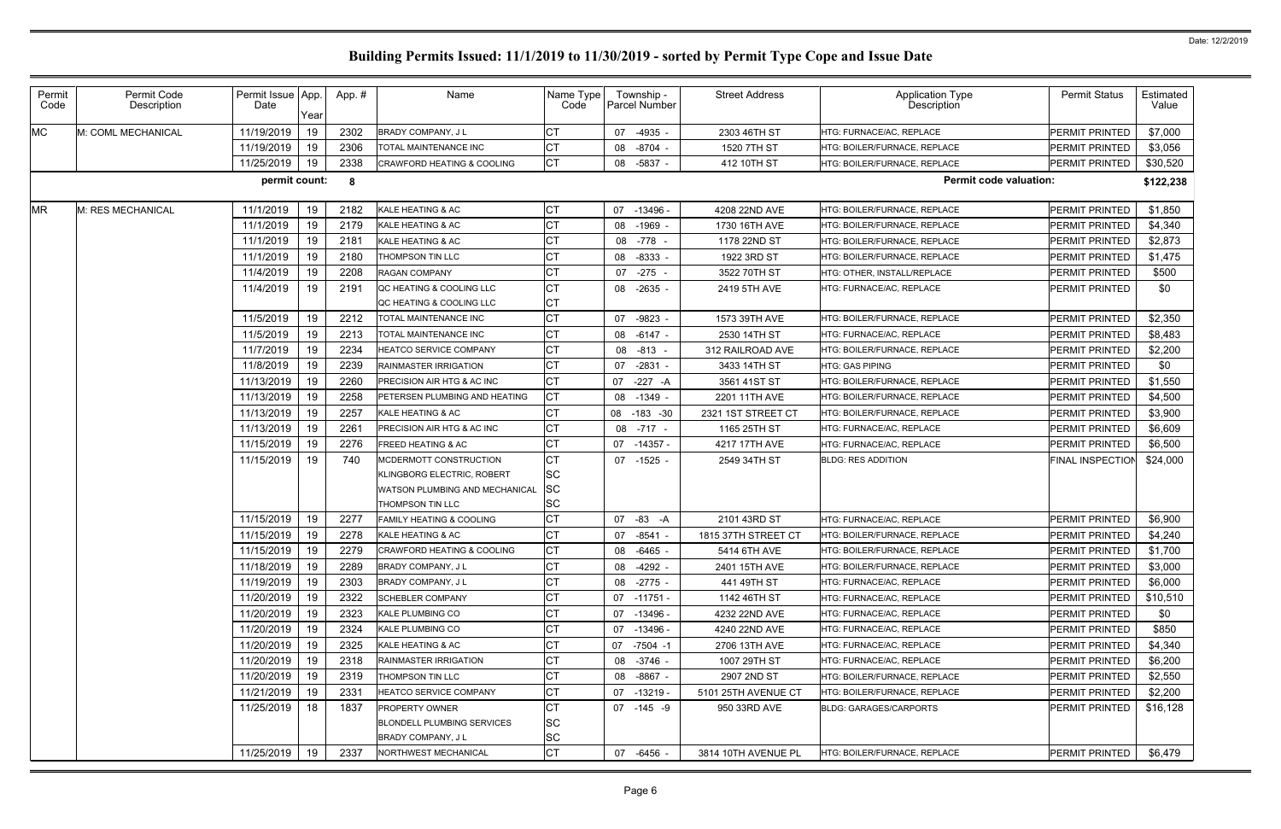| Permit<br>Code | Permit Code<br>Description | Permit Issue App.<br>Date | Year       | App.#        | Name                                                                     | Name Type<br>Code                                                                                         | Township -<br><b>Parcel Number</b>        | <b>Street Address</b>            | <b>Application Type</b><br>Description                       | <b>Permit Status</b>             | Estimated<br>Value      |          |
|----------------|----------------------------|---------------------------|------------|--------------|--------------------------------------------------------------------------|-----------------------------------------------------------------------------------------------------------|-------------------------------------------|----------------------------------|--------------------------------------------------------------|----------------------------------|-------------------------|----------|
| <b>MC</b>      | M: COML MECHANICAL         | 11/19/2019                | 19         | 2302         | <b>BRADY COMPANY, JL</b>                                                 | <b>CT</b>                                                                                                 | 07 -4935                                  | 2303 46TH ST                     | HTG: FURNACE/AC, REPLACE                                     | PERMIT PRINTED                   | \$7,000                 |          |
|                |                            | 11/19/2019                | 19         | 2306         | TOTAL MAINTENANCE INC                                                    | СT                                                                                                        | 08 -8704                                  | 1520 7TH ST                      | HTG: BOILER/FURNACE. REPLACE                                 | PERMIT PRINTED                   | \$3,056                 |          |
|                |                            | 11/25/2019                | 19         | 2338         | <b>CRAWFORD HEATING &amp; COOLING</b>                                    | Iст                                                                                                       | 08 -5837 -                                | 412 10TH ST                      | HTG: BOILER/FURNACE, REPLACE                                 | PERMIT PRINTED                   | \$30,520                |          |
|                |                            | permit count:             |            | - 8          |                                                                          |                                                                                                           |                                           |                                  | <b>Permit code valuation:</b>                                |                                  | \$122,238               |          |
| <b>MR</b>      | M: RES MECHANICAL          | 11/1/2019                 | 19         | 2182         | KALE HEATING & AC                                                        | СT                                                                                                        | 07 -13496 -                               | 4208 22ND AVE                    | HTG: BOILER/FURNACE, REPLACE                                 | PERMIT PRINTED                   | \$1,850                 |          |
|                |                            | 11/1/2019                 | 19         | 2179         | KALE HEATING & AC                                                        | <b>CT</b>                                                                                                 | 08 -1969                                  | 1730 16TH AVE                    | HTG: BOILER/FURNACE, REPLACE                                 | PERMIT PRINTED                   | \$4,340                 |          |
|                |                            | 11/1/2019                 | 19         | 218'         | KALE HEATING & AC                                                        | <b>CT</b>                                                                                                 | 08 -778 -                                 | 1178 22ND ST                     | HTG: BOILER/FURNACE. REPLACE                                 | PERMIT PRINTED                   | \$2,873                 |          |
|                |                            | 11/1/2019                 | 19         | 2180         | THOMPSON TIN LLC                                                         | <b>CT</b>                                                                                                 | 08 -8333                                  | 1922 3RD ST                      | HTG: BOILER/FURNACE, REPLACE                                 | PERMIT PRINTED                   | \$1,475                 |          |
|                |                            | 11/4/2019                 | 19         | 2208         | <b>RAGAN COMPANY</b>                                                     | <b>CT</b>                                                                                                 | 07 -275 -                                 | 3522 70TH ST                     | HTG: OTHER. INSTALL/REPLACE                                  | PERMIT PRINTED                   | \$500                   |          |
|                |                            | 11/4/2019                 | 19         | 2191         | QC HEATING & COOLING LLC                                                 | <b>CT</b><br><b>CT</b>                                                                                    | 08 -2635 -                                | 2419 5TH AVE                     | HTG: FURNACE/AC, REPLACE                                     | PERMIT PRINTED                   | \$0                     |          |
|                |                            | 11/5/2019                 |            | 2212         | QC HEATING & COOLING LLC<br>TOTAL MAINTENANCE INC                        | <b>CT</b>                                                                                                 |                                           |                                  | HTG: BOILER/FURNACE, REPLACE                                 | PERMIT PRINTED                   | \$2,350                 |          |
|                |                            | 11/5/2019                 | 19         |              | TOTAL MAINTENANCE INC                                                    | <b>CT</b>                                                                                                 | 07 -9823                                  | 1573 39TH AVE                    |                                                              |                                  |                         |          |
|                |                            | 11/7/2019                 | 19         | 2213<br>2234 | <b>HEATCO SERVICE COMPANY</b>                                            | <b>CT</b>                                                                                                 | 08 -6147 -                                | 2530 14TH ST<br>312 RAILROAD AVE | HTG: FURNACE/AC, REPLACE<br>HTG: BOILER/FURNACE, REPLACE     | PERMIT PRINTED<br>PERMIT PRINTED | \$8,483<br>\$2,200      |          |
|                |                            |                           | 19         |              | RAINMASTER IRRIGATION                                                    | <b>CT</b>                                                                                                 | 08 -813                                   |                                  | HTG: GAS PIPING                                              |                                  |                         |          |
|                |                            | 11/8/2019<br>11/13/2019   | 19         | 2239         |                                                                          | <b>CT</b>                                                                                                 | 07 -2831 -                                | 3433 14TH ST                     |                                                              | PERMIT PRINTED<br>PERMIT PRINTED | \$0                     |          |
|                |                            | 11/13/2019                | 19         | 2260         | PRECISION AIR HTG & AC INC<br>PETERSEN PLUMBING AND HEATING              | <b>CT</b>                                                                                                 | 07 -227 -A                                | 3561 41ST ST                     | HTG: BOILER/FURNACE, REPLACE<br>HTG: BOILER/FURNACE, REPLACE |                                  | \$1,550                 |          |
|                |                            | 11/13/2019                | 19         | 2258<br>2257 | KALE HEATING & AC                                                        | <b>CT</b>                                                                                                 | 08 -1349 -                                | 2201 11TH AVE                    |                                                              | PERMIT PRINTED                   | \$4,500<br>\$3,900      |          |
|                |                            |                           | 19         |              |                                                                          | <b>CT</b>                                                                                                 | 08<br>$-183 - 30$                         | 2321 1ST STREET CT               | HTG: BOILER/FURNACE, REPLACE                                 | PERMIT PRINTED                   |                         |          |
|                |                            | 11/13/2019                | 19         | 226'         | PRECISION AIR HTG & AC INC                                               |                                                                                                           | 08 -717 -                                 | 1165 25TH ST                     | HTG: FURNACE/AC, REPLACE                                     | PERMIT PRINTED                   | \$6,609                 |          |
|                |                            | 11/15/2019                | 19         | 2276         | FREED HEATING & AC                                                       | <b>CT</b>                                                                                                 | 07<br>-14357 -                            | 4217 17TH AVE                    | HTG: FURNACE/AC, REPLACE                                     | PERMIT PRINTED                   | \$6,500                 |          |
|                |                            |                           | 11/15/2019 | 19           | 740                                                                      | MCDERMOTT CONSTRUCTION<br>KLINGBORG ELECTRIC, ROBERT<br>WATSON PLUMBING AND MECHANICAL<br>HOMPSON TIN LLC | <b>CT</b><br><b>SC</b><br><b>SC</b><br>SC | 07 -1525 -                       | 2549 34TH ST                                                 | <b>BLDG: RES ADDITION</b>        | <b>FINAL INSPECTION</b> | \$24,000 |
|                |                            | 11/15/2019                | 19         | 2277         | FAMILY HEATING & COOLING                                                 | <b>CT</b>                                                                                                 | 07 -83 -A                                 | 2101 43RD ST                     | HTG: FURNACE/AC, REPLACE                                     | PERMIT PRINTED                   | \$6,900                 |          |
|                |                            | 11/15/2019                | 19         | 2278         | KALE HEATING & AC                                                        | <b>CT</b>                                                                                                 | 07 -8541 -                                | 1815 37TH STREET CT              | HTG: BOILER/FURNACE, REPLACE                                 | PERMIT PRINTED                   | \$4,240                 |          |
|                |                            | 11/15/2019                | 19         | 2279         | CRAWFORD HEATING & COOLING                                               | hт<br>◡                                                                                                   | 08 -6465                                  | 5414 6TH AVE                     | HTG: BOILER/FURNACE, REPLACE                                 | PERMIT PRINTED                   | \$1,700                 |          |
|                |                            | 11/18/2019                | 19         | 2289         | BRADY COMPANY, JL                                                        | <b>CT</b>                                                                                                 | 08 -4292 -                                | 2401 15TH AVE                    | HTG: BOILER/FURNACE, REPLACE                                 | PERMIT PRINTED                   | \$3,000                 |          |
|                |                            | 11/19/2019                | 19         | 2303         | <b>BRADY COMPANY, JL</b>                                                 | <b>CT</b>                                                                                                 | 08 -2775 -                                | 441 49TH ST                      | HTG: FURNACE/AC, REPLACE                                     | PERMIT PRINTED                   | \$6,000                 |          |
|                |                            | 11/20/2019                | 19         | 2322         | <b>SCHEBLER COMPANY</b>                                                  | <b>CT</b>                                                                                                 | $07 - 11751 -$                            | 1142 46TH ST                     | HTG: FURNACE/AC, REPLACE                                     | PERMIT PRINTED                   | \$10,510                |          |
|                |                            | 11/20/2019                | 19         | 2323         | KALE PLUMBING CO                                                         | <b>CT</b>                                                                                                 | 07 -13496 -                               | 4232 22ND AVE                    | HTG: FURNACE/AC, REPLACE                                     | PERMIT PRINTED                   | \$0                     |          |
|                |                            | 11/20/2019                | 19         | 2324         | KALE PLUMBING CO                                                         | <b>CT</b>                                                                                                 | 07 -13496 -                               | 4240 22ND AVE                    | HTG: FURNACE/AC, REPLACE                                     | PERMIT PRINTED                   | \$850                   |          |
|                |                            | 11/20/2019                | 19         | 2325         | KALE HEATING & AC                                                        | СT                                                                                                        | 07 -7504 -1                               | 2706 13TH AVE                    | HTG: FURNACE/AC, REPLACE                                     | PERMIT PRINTED                   | \$4,340                 |          |
|                |                            | 11/20/2019                | 19         | 2318         | RAINMASTER IRRIGATION                                                    | <b>CT</b>                                                                                                 | 08 -3746 -                                | 1007 29TH ST                     | HTG: FURNACE/AC, REPLACE                                     | PERMIT PRINTED                   | \$6,200                 |          |
|                |                            | 11/20/2019                | 19         | 2319         | THOMPSON TIN LLC                                                         | СT                                                                                                        | 08 -8867 -                                | 2907 2ND ST                      | HTG: BOILER/FURNACE, REPLACE                                 | PERMIT PRINTED                   | \$2,550                 |          |
|                |                            | 11/21/2019                | 19         | 2331         | HEATCO SERVICE COMPANY                                                   | <b>CT</b>                                                                                                 | 07 -13219 -                               | 5101 25TH AVENUE CT              | HTG: BOILER/FURNACE, REPLACE                                 | PERMIT PRINTED                   | \$2,200                 |          |
|                |                            | 11/25/2019                | 18         | 1837         | <b>PROPERTY OWNER</b><br>BLONDELL PLUMBING SERVICES<br>BRADY COMPANY, JL | <b>CT</b><br><b>SC</b><br>SC                                                                              | 07 -145 -9                                | 950 33RD AVE                     | <b>BLDG: GARAGES/CARPORTS</b>                                | PERMIT PRINTED                   | \$16,128                |          |
|                |                            | 11/25/2019                | 19         | 2337         | NORTHWEST MECHANICAL                                                     | <b>CT</b>                                                                                                 | 07 -6456 -                                | 3814 10TH AVENUE PL              | HTG: BOILER/FURNACE, REPLACE                                 | <b>PERMIT PRINTED</b>            | \$6,479                 |          |
|                |                            |                           |            |              |                                                                          |                                                                                                           |                                           |                                  |                                                              |                                  |                         |          |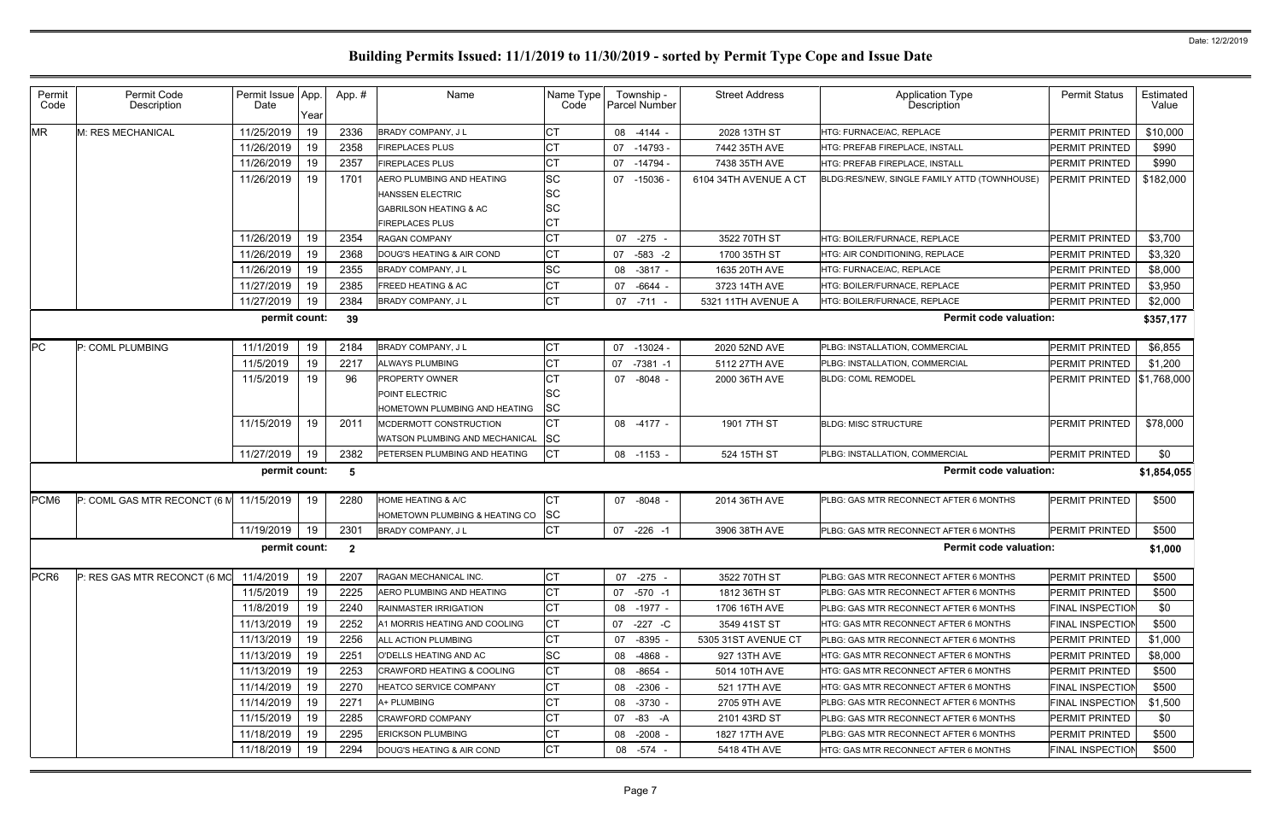| Permit<br>Code   | Permit Code<br>Description   | Permit Issue App.<br>Date | Year | App.#        | Name                                  | Name Type<br>Code | Township -<br><b>Parcel Number</b> | <b>Street Address</b> | <b>Application Type</b><br>Description       | <b>Permit Status</b>    | Estimated<br>Value |
|------------------|------------------------------|---------------------------|------|--------------|---------------------------------------|-------------------|------------------------------------|-----------------------|----------------------------------------------|-------------------------|--------------------|
| <b>MR</b>        | M: RES MECHANICAL            | 11/25/2019                | 19   | 2336         | BRADY COMPANY, J L                    | <b>CT</b>         | 08 -4144 -                         | 2028 13TH ST          | HTG: FURNACE/AC, REPLACE                     | PERMIT PRINTED          | \$10,000           |
|                  |                              | 11/26/2019                | 19   | 2358         | <b>FIREPLACES PLUS</b>                | <b>CT</b>         | 07 -14793 -                        | 7442 35TH AVE         | HTG: PREFAB FIREPLACE, INSTALL               | <b>PERMIT PRINTED</b>   | \$990              |
|                  |                              | 11/26/2019                | 19   | 2357         | <b>FIREPLACES PLUS</b>                | <b>CT</b>         | 07<br>-14794 -                     | 7438 35TH AVE         | HTG: PREFAB FIREPLACE, INSTALL               | PERMIT PRINTED          | \$990              |
|                  |                              | 11/26/2019                | 19   | 1701         | AERO PLUMBING AND HEATING             | <b>SC</b>         | 07 -15036                          | 6104 34TH AVENUE A CT | BLDG:RES/NEW, SINGLE FAMILY ATTD (TOWNHOUSE) | PERMIT PRINTED          | \$182,000          |
|                  |                              |                           |      |              | <b>HANSSEN ELECTRIC</b>               | <b>SC</b>         |                                    |                       |                                              |                         |                    |
|                  |                              |                           |      |              | <b>GABRILSON HEATING &amp; AC</b>     | <b>SC</b>         |                                    |                       |                                              |                         |                    |
|                  |                              |                           |      |              | <b>FIREPLACES PLUS</b>                | <b>CT</b>         |                                    |                       |                                              |                         |                    |
|                  |                              | 11/26/2019                | 19   | 2354         | <b>RAGAN COMPANY</b>                  | <b>CT</b>         | 07<br>-275                         | 3522 70TH ST          | HTG: BOILER/FURNACE, REPLACE                 | PERMIT PRINTED          | \$3,700            |
|                  |                              | 11/26/2019                | 19   | 2368         | DOUG'S HEATING & AIR COND             | <b>CT</b>         | $-583 - 2$<br>07                   | 1700 35TH ST          | HTG: AIR CONDITIONING, REPLACE               | PERMIT PRINTED          | \$3,320            |
|                  |                              | 11/26/2019                | 19   | 2355         | <b>BRADY COMPANY, JL</b>              | <b>SC</b>         | 08 -3817 -                         | 1635 20TH AVE         | HTG: FURNACE/AC, REPLACE                     | PERMIT PRINTED          | \$8,000            |
|                  |                              | 11/27/2019                | 19   | 2385         | <b>FREED HEATING &amp; AC</b>         | CT                | 07 -6644                           | 3723 14TH AVE         | HTG: BOILER/FURNACE. REPLACE                 | PERMIT PRINTED          | \$3,950            |
|                  |                              | 11/27/2019                | 19   | 2384         | BRADY COMPANY, J L                    | СT                | $07 - 711 -$                       | 5321 11TH AVENUE A    | HTG: BOILER/FURNACE. REPLACE                 | PERMIT PRINTED          | \$2,000            |
|                  |                              | permit count:             |      | 39           |                                       |                   |                                    |                       | <b>Permit code valuation:</b>                |                         | \$357,177          |
| <b>PC</b>        | P: COML PLUMBING             | 11/1/2019                 | 19   | 2184         | <b>BRADY COMPANY, JL</b>              | СT                | 07 -13024 -                        | 2020 52ND AVE         | PLBG: INSTALLATION, COMMERCIAL               | PERMIT PRINTED          | \$6,855            |
|                  |                              | 11/5/2019                 | 19   | 2217         | ALWAYS PLUMBING                       | <b>CT</b>         | $-7381 - 1$<br>07                  | 5112 27TH AVE         | PLBG: INSTALLATION, COMMERCIAL               | PERMIT PRINTED          | \$1,200            |
|                  |                              | 11/5/2019                 | 19   | 96           | <b>PROPERTY OWNER</b>                 | <b>CT</b>         | 07 -8048 -                         | 2000 36TH AVE         | <b>BLDG: COML REMODEL</b>                    | PERMIT PRINTED          | \$1,768,000        |
|                  |                              |                           |      |              | POINT ELECTRIC                        | <b>SC</b>         |                                    |                       |                                              |                         |                    |
|                  |                              |                           |      |              | HOMETOWN PLUMBING AND HEATING         | <b>SC</b>         |                                    |                       |                                              |                         |                    |
|                  |                              | 11/15/2019                | 19   | 2011         | MCDERMOTT CONSTRUCTION                | <b>CT</b>         | 08 -4177 -                         | 1901 7TH ST           | <b>BLDG: MISC STRUCTURE</b>                  | <b>PERMIT PRINTED</b>   | \$78,000           |
|                  |                              |                           |      |              | <b>WATSON PLUMBING AND MECHANICAL</b> | <b>SC</b>         |                                    |                       |                                              |                         |                    |
|                  |                              | 11/27/2019                | 19   | 2382         | PETERSEN PLUMBING AND HEATING         | IСТ               | 08 -1153 -                         | 524 15TH ST           | PLBG: INSTALLATION, COMMERCIAL               | PERMIT PRINTED          | \$0                |
|                  |                              | permit count:             |      | 5            |                                       |                   |                                    |                       | <b>Permit code valuation:</b>                |                         | \$1,854,055        |
| PCM <sub>6</sub> | P: COML GAS MTR RECONCT (6 M | 11/15/2019                | 19   | 2280         | <b>HOME HEATING &amp; A/C</b>         | IСТ               | 07 -8048 -                         | 2014 36TH AVE         | PLBG: GAS MTR RECONNECT AFTER 6 MONTHS       | <b>PERMIT PRINTED</b>   | \$500              |
|                  |                              |                           |      |              | HOMETOWN PLUMBING & HEATING CO        | SC                |                                    |                       |                                              |                         |                    |
|                  |                              | 11/19/2019                | 19   | 2301         | BRADY COMPANY, J L                    | <b>CT</b>         | 07 -226 -1                         | 3906 38TH AVE         | PLBG: GAS MTR RECONNECT AFTER 6 MONTHS       | <b>PERMIT PRINTED</b>   | \$500              |
|                  |                              | permit count:             |      | $\mathbf{2}$ |                                       |                   |                                    |                       | <b>Permit code valuation:</b>                |                         | \$1,000            |
| PCR <sub>6</sub> | P: RES GAS MTR RECONCT (6 MC | 11/4/2019                 | 19   | 2207         | RAGAN MECHANICAL INC.                 | СT                | 07 -275                            | 3522 70TH ST          | PLBG: GAS MTR RECONNECT AFTER 6 MONTHS       | PERMIT PRINTED          | \$500              |
|                  |                              | 11/5/2019                 | 19   | 2225         | <b>AERO PLUMBING AND HEATING</b>      | СT                | 07 -570 -1                         | 1812 36TH ST          | PLBG: GAS MTR RECONNECT AFTER 6 MONTHS       | PERMIT PRINTED          | \$500              |
|                  |                              | 11/8/2019                 | 19   | 2240         | RAINMASTER IRRIGATION                 | <b>CT</b>         | 08 -1977 -                         | 1706 16TH AVE         | PLBG: GAS MTR RECONNECT AFTER 6 MONTHS       | <b>FINAL INSPECTION</b> | \$0                |
|                  |                              | 11/13/2019                | 19   | 2252         | A1 MORRIS HEATING AND COOLING         | <b>CT</b>         | 07 -227 -C                         | 3549 41ST ST          | HTG: GAS MTR RECONNECT AFTER 6 MONTHS        | <b>FINAL INSPECTION</b> | \$500              |
|                  |                              | 11/13/2019                | 19   | 2256         | ALL ACTION PLUMBING                   | <b>CT</b>         | 07<br>-8395                        | 5305 31ST AVENUE CT   | PLBG: GAS MTR RECONNECT AFTER 6 MONTHS       | PERMIT PRINTED          | \$1,000            |
|                  |                              | 11/13/2019                | 19   | 2251         | O'DELLS HEATING AND AC                | <b>SC</b>         | 08 -4868 -                         | 927 13TH AVE          | HTG: GAS MTR RECONNECT AFTER 6 MONTHS        | <b>PERMIT PRINTED</b>   | \$8,000            |
|                  |                              | 11/13/2019                | 19   | 2253         | <b>CRAWFORD HEATING &amp; COOLING</b> | <b>CT</b>         | 08 -8654 -                         | 5014 10TH AVE         | HTG: GAS MTR RECONNECT AFTER 6 MONTHS        | PERMIT PRINTED          | \$500              |
|                  |                              | 11/14/2019                | 19   | 2270         | <b>HEATCO SERVICE COMPANY</b>         | <b>CT</b>         | 08 -2306 -                         | 521 17TH AVE          | HTG: GAS MTR RECONNECT AFTER 6 MONTHS        | <b>FINAL INSPECTION</b> | \$500              |
|                  |                              | 11/14/2019                | 19   | 2271         | A+ PLUMBING                           | <b>CT</b>         | 08 -3730 -                         | 2705 9TH AVE          | PLBG: GAS MTR RECONNECT AFTER 6 MONTHS       | <b>FINAL INSPECTION</b> | \$1,500            |
|                  |                              | 11/15/2019                | 19   | 2285         | CRAWFORD COMPANY                      | <b>CT</b>         | 07 -83 -A                          | 2101 43RD ST          | PLBG: GAS MTR RECONNECT AFTER 6 MONTHS       | <b>PERMIT PRINTED</b>   | \$0                |
|                  |                              | 11/18/2019                | 19   | 2295         | <b>ERICKSON PLUMBING</b>              | СT                | 08 -2008 -                         | 1827 17TH AVE         | PLBG: GAS MTR RECONNECT AFTER 6 MONTHS       | <b>PERMIT PRINTED</b>   | \$500              |
|                  |                              | 11/18/2019                | 19   | 2294         | DOUG'S HEATING & AIR COND             | <b>CT</b>         | 08 - 574 -                         | 5418 4TH AVE          | HTG: GAS MTR RECONNECT AFTER 6 MONTHS        | <b>FINAL INSPECTION</b> | \$500              |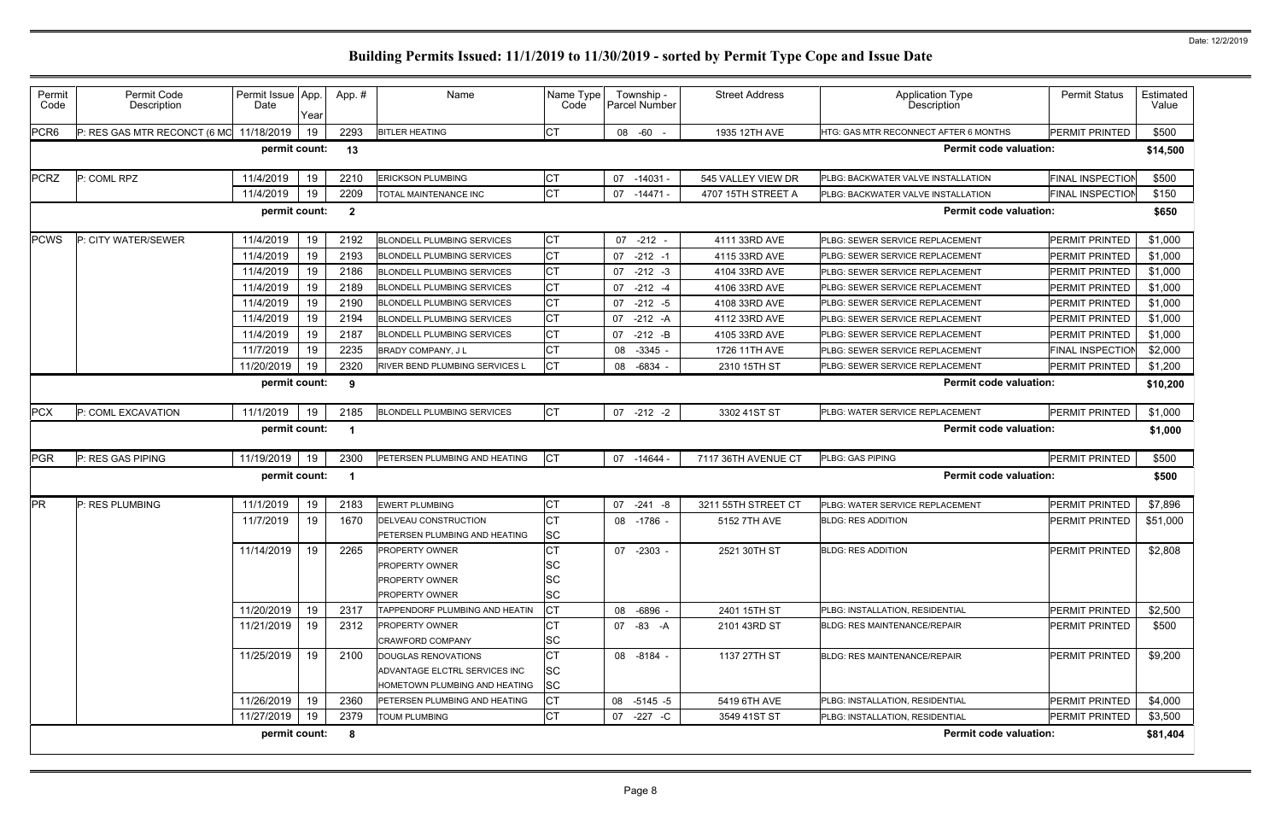| Permit<br>Code                                                            | Permit Code<br>Description   | Permit Issue App.<br>Date | Year | App.# | Name                                                                                  | Name Type<br>Code                                | Township -<br>Parcel Number | <b>Street Address</b> | Application Type<br>Description       | <b>Permit Status</b>    | Estimated<br>Value |  |  |
|---------------------------------------------------------------------------|------------------------------|---------------------------|------|-------|---------------------------------------------------------------------------------------|--------------------------------------------------|-----------------------------|-----------------------|---------------------------------------|-------------------------|--------------------|--|--|
| PCR <sub>6</sub>                                                          | P: RES GAS MTR RECONCT (6 MO | 11/18/2019                | 19   | 2293  | <b>BITLER HEATING</b>                                                                 | <b>CT</b>                                        | 08 -60 -                    | 1935 12TH AVE         | HTG: GAS MTR RECONNECT AFTER 6 MONTHS | <b>PERMIT PRINTED</b>   | \$500              |  |  |
|                                                                           |                              | permit count:             |      | 13    |                                                                                       |                                                  |                             |                       | <b>Permit code valuation:</b>         |                         | \$14,500           |  |  |
| <b>PCRZ</b>                                                               | P: COML RPZ                  | 11/4/2019                 | 19   | 2210  | <b>ERICKSON PLUMBING</b>                                                              | <b>CT</b>                                        | 07<br>-14031 -              | 545 VALLEY VIEW DR    | PLBG: BACKWATER VALVE INSTALLATION    | <b>FINAL INSPECTION</b> | \$500              |  |  |
|                                                                           |                              | 11/4/2019                 | 19   | 2209  | TOTAL MAINTENANCE INC                                                                 | <b>CT</b>                                        | 07 -14471 -                 | 4707 15TH STREET A    | PLBG: BACKWATER VALVE INSTALLATION    | <b>FINAL INSPECTION</b> | \$150              |  |  |
| permit count:<br><b>Permit code valuation:</b><br>$\overline{2}$<br>\$650 |                              |                           |      |       |                                                                                       |                                                  |                             |                       |                                       |                         |                    |  |  |
| <b>PCWS</b>                                                               | P: CITY WATER/SEWER          | 11/4/2019                 | 19   | 2192  | <b>BLONDELL PLUMBING SERVICES</b>                                                     | <b>CT</b>                                        | 07 -212                     | 4111 33RD AVE         | PLBG: SEWER SERVICE REPLACEMENT       | <b>PERMIT PRINTED</b>   | \$1,000            |  |  |
|                                                                           |                              | 11/4/2019                 | 19   | 2193  | <b>BLONDELL PLUMBING SERVICES</b>                                                     | <b>CT</b>                                        | $-212 - 1$<br>07            | 4115 33RD AVE         | PLBG: SEWER SERVICE REPLACEMENT       | PERMIT PRINTED          | \$1,000            |  |  |
|                                                                           |                              | 11/4/2019                 | 19   | 2186  | <b>BLONDELL PLUMBING SERVICES</b>                                                     | <b>CT</b>                                        | 07<br>$-212 - 3$            | 4104 33RD AVE         | PLBG: SEWER SERVICE REPLACEMENT       | PERMIT PRINTED          | \$1,000            |  |  |
|                                                                           |                              | 11/4/2019                 | 19   | 2189  | <b>BLONDELL PLUMBING SERVICES</b>                                                     | <b>CT</b>                                        | 07<br>$-212 - 4$            | 4106 33RD AVE         | PLBG: SEWER SERVICE REPLACEMENT       | PERMIT PRINTED          | \$1,000            |  |  |
|                                                                           |                              | 11/4/2019                 | 19   | 2190  | <b>BLONDELL PLUMBING SERVICES</b>                                                     | <b>CT</b>                                        | 07<br>$-212 - 5$            | 4108 33RD AVE         | PLBG: SEWER SERVICE REPLACEMENT       | PERMIT PRINTED          | \$1,000            |  |  |
|                                                                           |                              | 11/4/2019                 | 19   | 2194  | <b>BLONDELL PLUMBING SERVICES</b>                                                     | <b>CT</b>                                        | $-212 - A$<br>07            | 4112 33RD AVE         | PLBG: SEWER SERVICE REPLACEMENT       | PERMIT PRINTED          | \$1,000            |  |  |
|                                                                           |                              | 11/4/2019                 | 19   | 2187  | <b>BLONDELL PLUMBING SERVICES</b>                                                     | <b>CT</b>                                        | $-212 - B$<br>07            | 4105 33RD AVE         | PLBG: SEWER SERVICE REPLACEMENT       | PERMIT PRINTED          | \$1,000            |  |  |
|                                                                           |                              | 11/7/2019                 | 19   | 2235  | <b>BRADY COMPANY, JL</b>                                                              | <b>CT</b>                                        | 08 -3345 -                  | 1726 11TH AVE         | PLBG: SEWER SERVICE REPLACEMENT       | <b>FINAL INSPECTION</b> | \$2,000            |  |  |
|                                                                           |                              | 11/20/2019                | 19   | 2320  | RIVER BEND PLUMBING SERVICES L                                                        | <b>CT</b>                                        | 08 -6834 -                  | 2310 15TH ST          | PLBG: SEWER SERVICE REPLACEMENT       | <b>PERMIT PRINTED</b>   | \$1,200            |  |  |
| permit count:<br><b>Permit code valuation:</b><br>9                       |                              |                           |      |       |                                                                                       |                                                  |                             |                       |                                       | \$10,200                |                    |  |  |
| <b>PCX</b>                                                                | P: COML EXCAVATION           | 11/1/2019                 | 19   | 2185  | <b>BLONDELL PLUMBING SERVICES</b>                                                     | <b>CT</b>                                        | $07 - 212 - 2$              | 3302 41ST ST          | PLBG: WATER SERVICE REPLACEMENT       | PERMIT PRINTED          | \$1,000            |  |  |
| <b>Permit code valuation:</b><br>permit count:<br>-1                      |                              |                           |      |       |                                                                                       |                                                  |                             | \$1,000               |                                       |                         |                    |  |  |
|                                                                           |                              |                           |      |       |                                                                                       |                                                  |                             |                       |                                       |                         |                    |  |  |
| PGR                                                                       | P: RES GAS PIPING            | 11/19/2019                | 19   | 2300  | PETERSEN PLUMBING AND HEATING                                                         | <b>CT</b>                                        | 07 -14644                   | 7117 36TH AVENUE CT   | PLBG: GAS PIPING                      | <b>PERMIT PRINTED</b>   | \$500              |  |  |
|                                                                           |                              | permit count:             |      | - 1   |                                                                                       |                                                  |                             |                       | <b>Permit code valuation:</b>         |                         | \$500              |  |  |
| <b>PR</b>                                                                 | P: RES PLUMBING              | 11/1/2019                 | 19   | 2183  | <b>EWERT PLUMBING</b>                                                                 | <b>CT</b>                                        | 07<br>$-241 - 8$            | 3211 55TH STREET CT   | PLBG: WATER SERVICE REPLACEMENT       | PERMIT PRINTED          | \$7,896            |  |  |
|                                                                           |                              | 11/7/2019                 | 19   | 1670  | DELVEAU CONSTRUCTION<br>PETERSEN PLUMBING AND HEATING                                 | <b>CT</b>                                        | 08 -1786 -                  | 5152 7TH AVE          | <b>BLDG: RES ADDITION</b>             | <b>PERMIT PRINTED</b>   | \$51,000           |  |  |
|                                                                           |                              | 11/14/2019                | 19   | 2265  | PROPERTY OWNER<br><b>PROPERTY OWNER</b><br><b>PROPERTY OWNER</b><br>PROPERTY OWNER    | <b>SC</b><br>СT<br>ΙSC<br>SC<br><b>SC</b>        | 07 -2303 -                  | 2521 30TH ST          | <b>BLDG: RES ADDITION</b>             | PERMIT PRINTED          | \$2,808            |  |  |
|                                                                           |                              | 11/20/2019                | 19   | 2317  | TAPPENDORF PLUMBING AND HEATIN                                                        | <b>CT</b>                                        | 08 -6896 -                  | 2401 15TH ST          | PLBG: INSTALLATION, RESIDENTIAL       | <b>PERMIT PRINTED</b>   | \$2,500            |  |  |
|                                                                           |                              | 11/21/2019                | 19   | 2312  | <b>PROPERTY OWNER</b><br><b>CRAWFORD COMPANY</b>                                      | <b>CT</b>                                        | 07 -83 -A                   | 2101 43RD ST          | <b>BLDG: RES MAINTENANCE/REPAIR</b>   | <b>PERMIT PRINTED</b>   | \$500              |  |  |
|                                                                           |                              | 11/25/2019                | 19   | 2100  | DOUGLAS RENOVATIONS<br>ADVANTAGE ELCTRL SERVICES INC<br>HOMETOWN PLUMBING AND HEATING | <b>SC</b><br><b>CT</b><br><b>SC</b><br><b>SC</b> | 08 -8184 -                  | 1137 27TH ST          | <b>BLDG: RES MAINTENANCE/REPAIR</b>   | PERMIT PRINTED          | \$9,200            |  |  |
|                                                                           |                              | 11/26/2019                | 19   | 2360  | PETERSEN PLUMBING AND HEATING                                                         | <b>CT</b>                                        | 08 -5145 -5                 | 5419 6TH AVE          | PLBG: INSTALLATION, RESIDENTIAL       | PERMIT PRINTED          | \$4,000            |  |  |
|                                                                           |                              | 11/27/2019                | 19   | 2379  | <b>TOUM PLUMBING</b>                                                                  | <b>CT</b>                                        | 07 -227 -C                  | 3549 41ST ST          | PLBG: INSTALLATION, RESIDENTIAL       | <b>PERMIT PRINTED</b>   | \$3,500            |  |  |